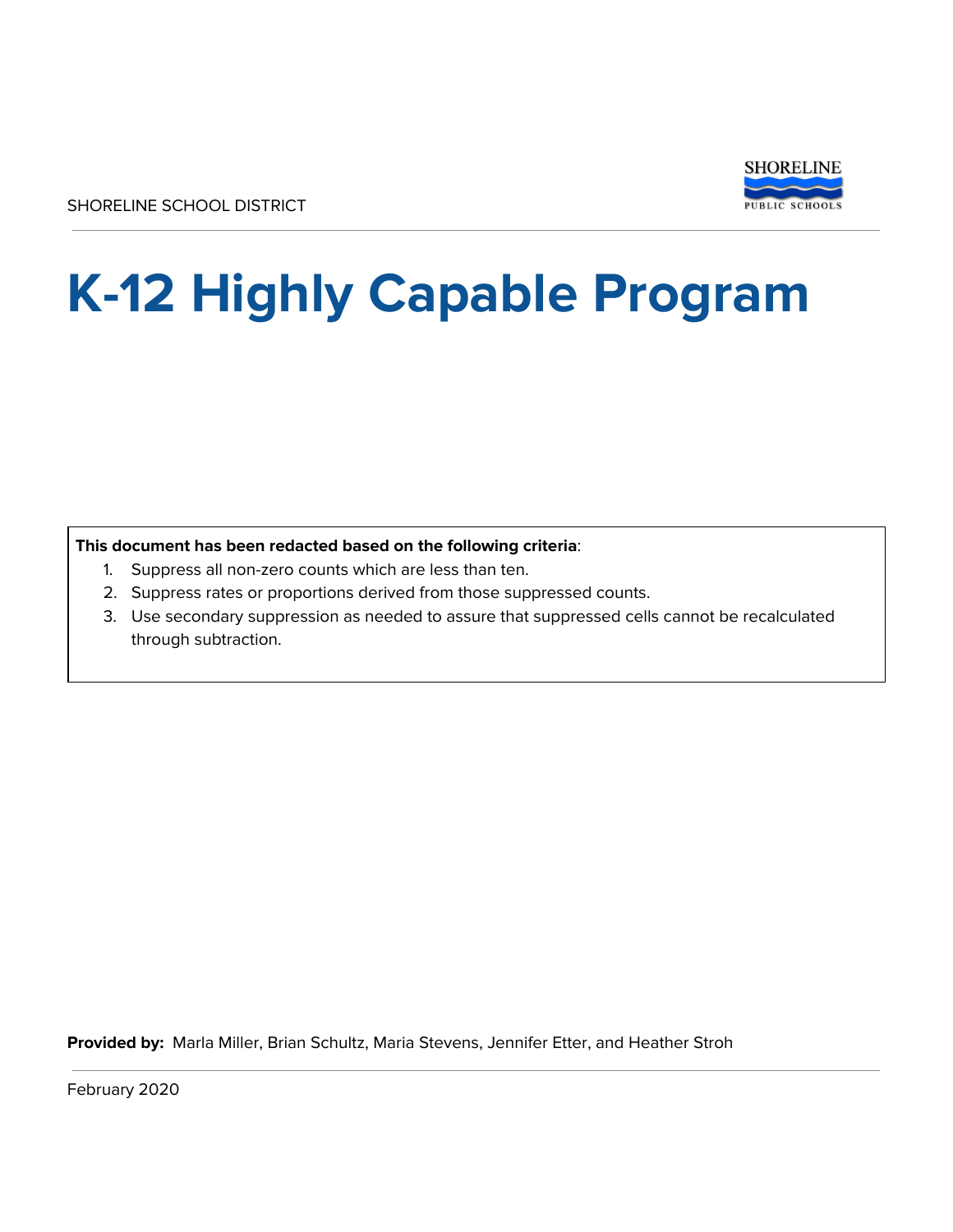

# **K-12 Highly Capable Program**

**This document has been redacted based on the following criteria**:

- 1. Suppress all non-zero counts which are less than ten.
- 2. Suppress rates or proportions derived from those suppressed counts.
- 3. Use secondary suppression as needed to assure that suppressed cells cannot be recalculated through subtraction.

**Provided by:** Marla Miller, Brian Schultz, Maria Stevens, Jennifer Etter, and Heather Stroh

February 2020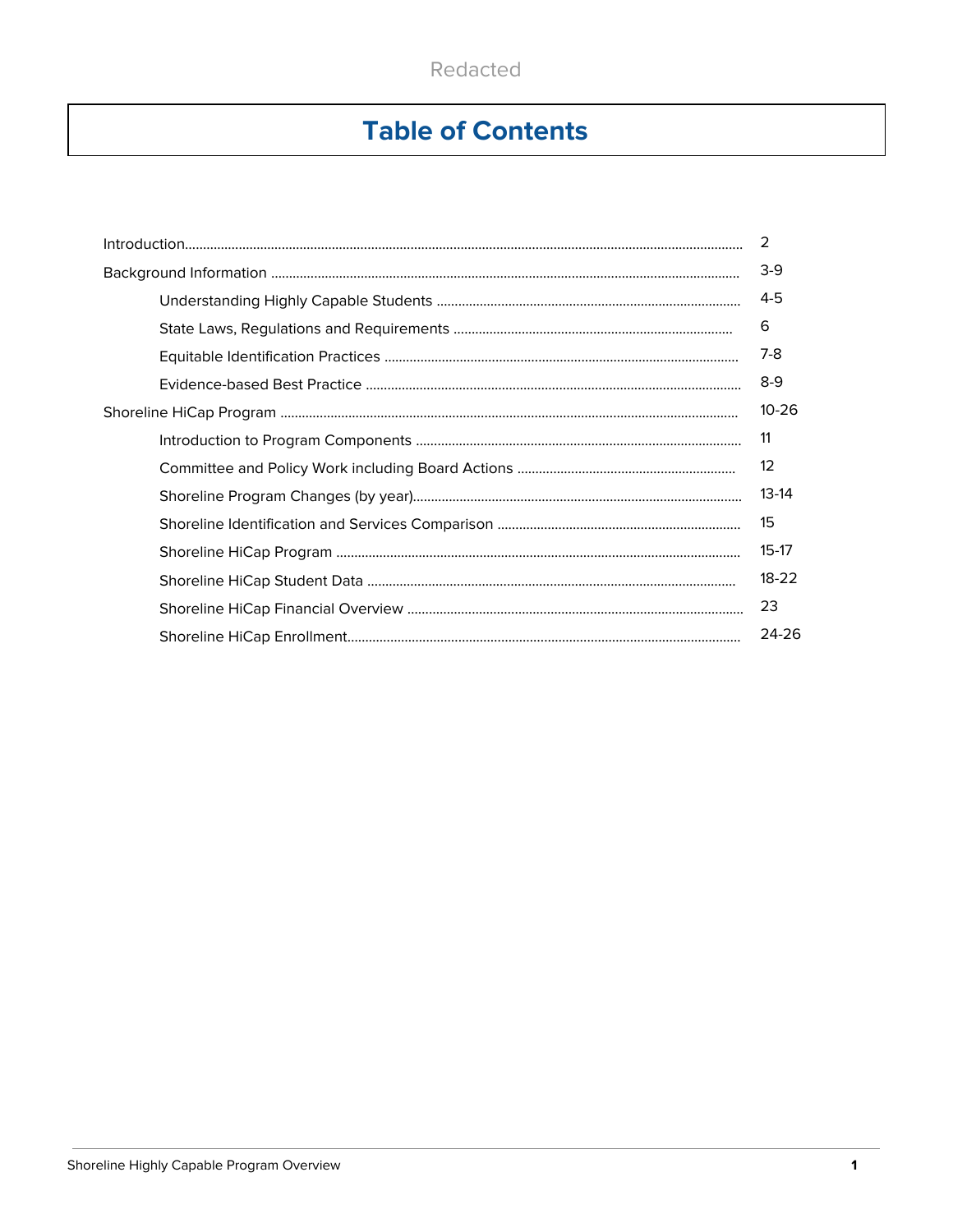# **Table of Contents**

|           | 2                 |  |  |  |  |  |
|-----------|-------------------|--|--|--|--|--|
|           | $3-9$             |  |  |  |  |  |
|           | 4-5               |  |  |  |  |  |
|           | 6                 |  |  |  |  |  |
|           | 7-8               |  |  |  |  |  |
|           | $8-9$             |  |  |  |  |  |
| $10 - 26$ |                   |  |  |  |  |  |
|           | 11                |  |  |  |  |  |
|           | $12 \overline{ }$ |  |  |  |  |  |
|           | $13-14$           |  |  |  |  |  |
|           | 15                |  |  |  |  |  |
|           | $15-17$           |  |  |  |  |  |
|           | $18 - 22$         |  |  |  |  |  |
|           | 23                |  |  |  |  |  |
|           | 24-26             |  |  |  |  |  |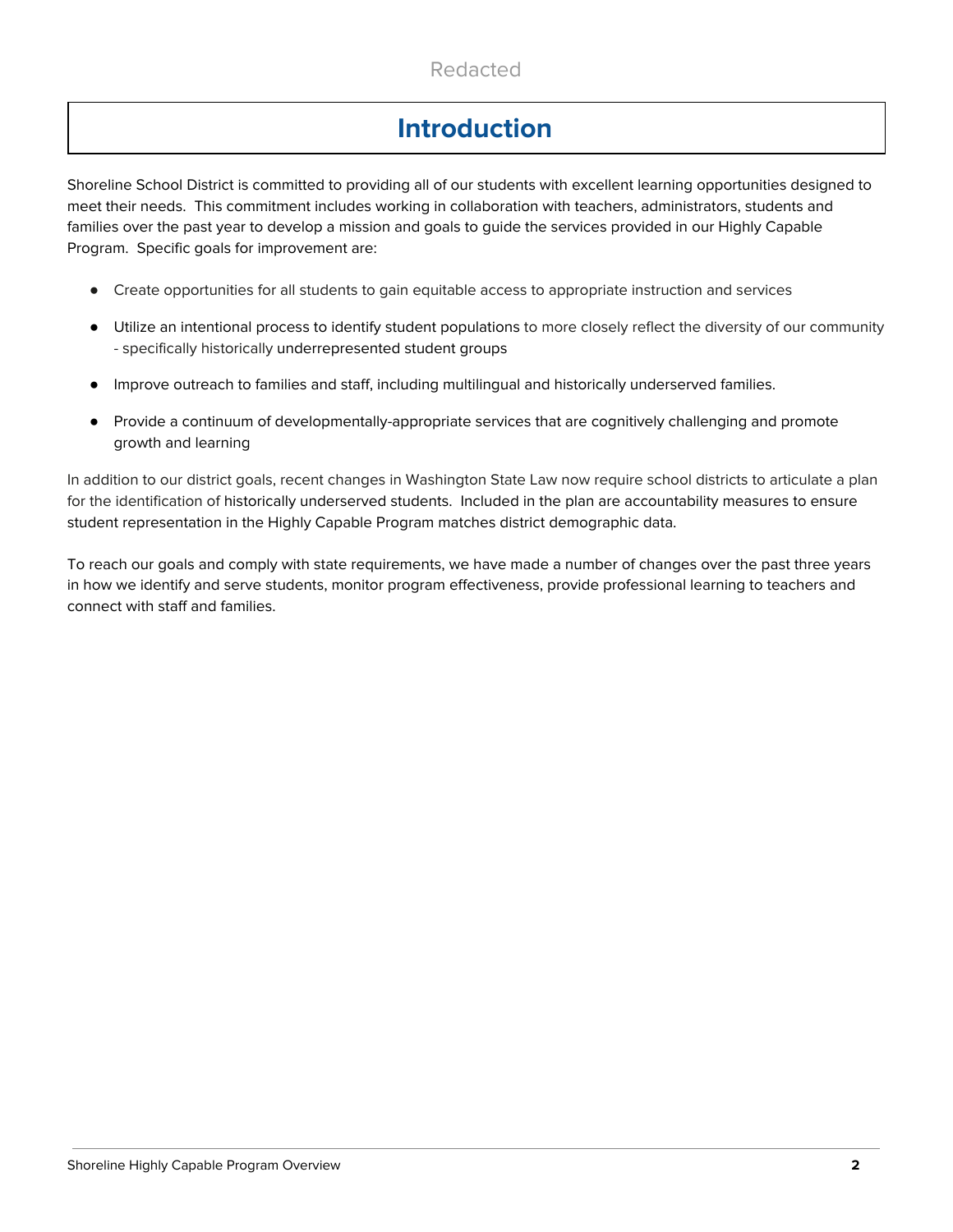# **Introduction**

Shoreline School District is committed to providing all of our students with excellent learning opportunities designed to meet their needs. This commitment includes working in collaboration with teachers, administrators, students and families over the past year to develop a mission and goals to guide the services provided in our Highly Capable Program. Specific goals for improvement are:

- Create opportunities for all students to gain equitable access to appropriate instruction and services
- Utilize an intentional process to identify student populations to more closely reflect the diversity of our community - specifically historically underrepresented student groups
- Improve outreach to families and staff, including multilingual and historically underserved families.
- Provide a continuum of developmentally-appropriate services that are cognitively challenging and promote growth and learning

In addition to our district goals, recent changes in Washington State Law now require school districts to articulate a plan for the identification of historically underserved students. Included in the plan are accountability measures to ensure student representation in the Highly Capable Program matches district demographic data.

To reach our goals and comply with state requirements, we have made a number of changes over the past three years in how we identify and serve students, monitor program effectiveness, provide professional learning to teachers and connect with staff and families.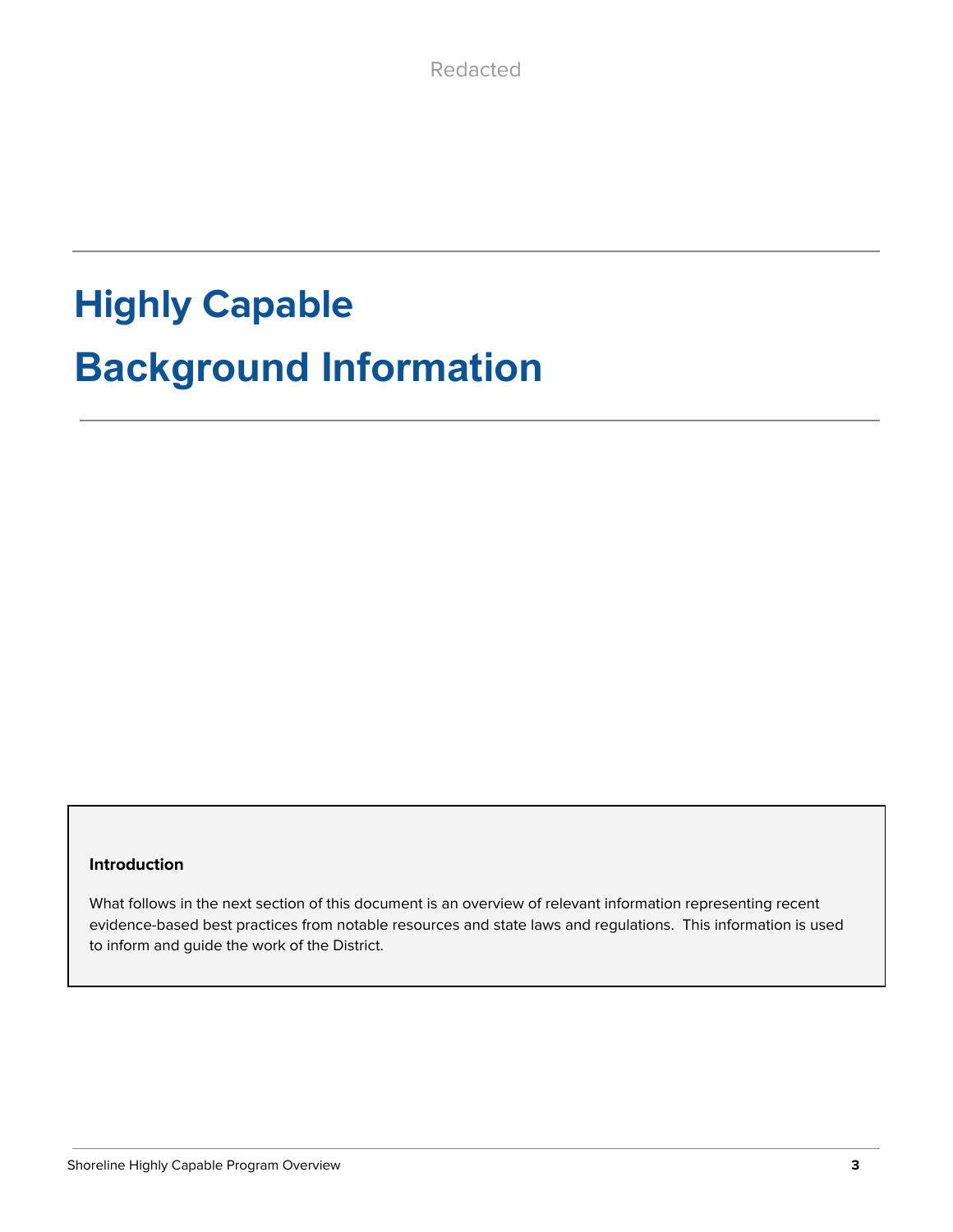# **Highly Capable Background Information**

### **Introduction**

What follows in the next section of this document is an overview of relevant information representing recent evidence-based best practices from notable resources and state laws and regulations. This information is used to inform and guide the work of the District.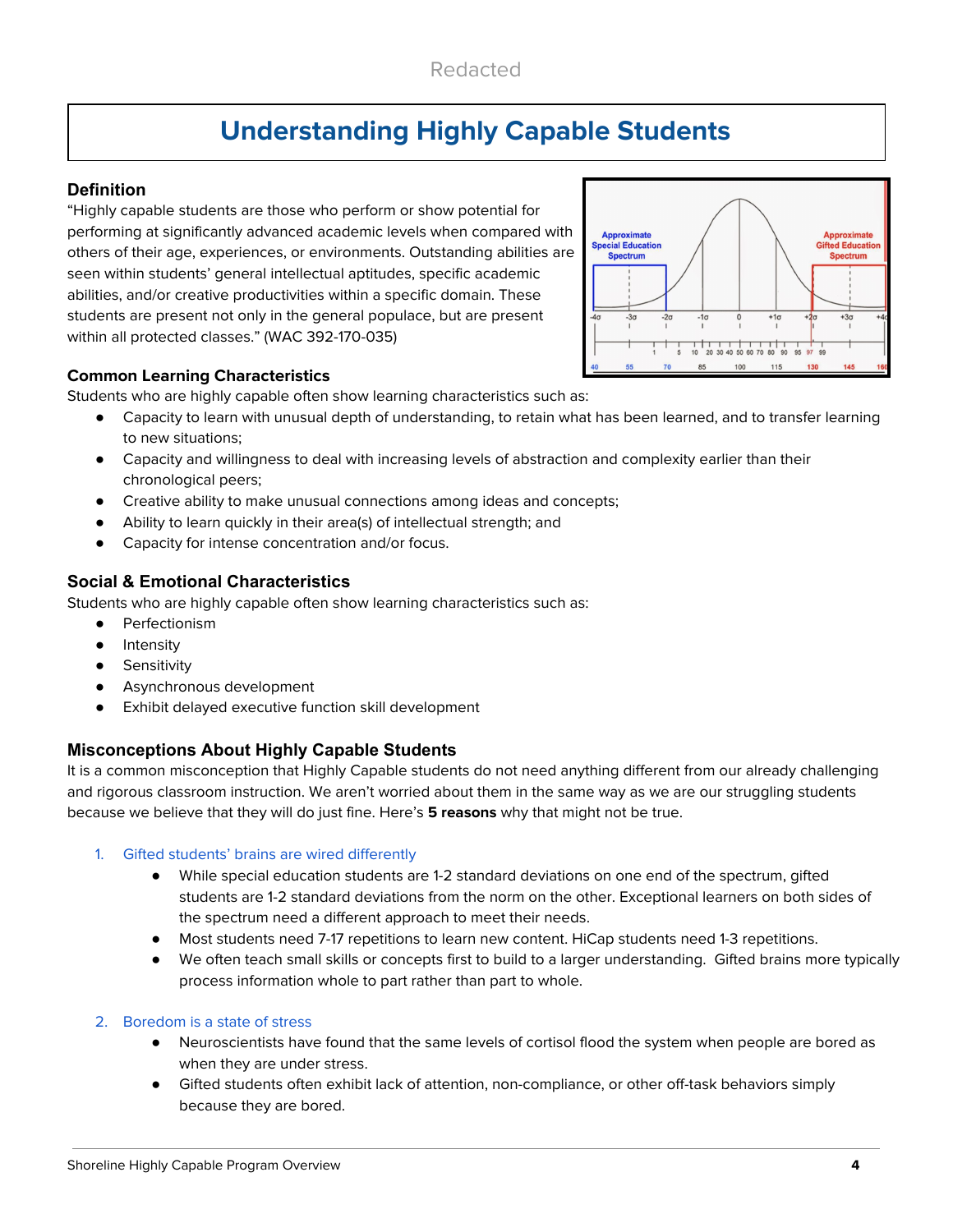# **Understanding Highly Capable Students**

### **Definition**

"Highly capable students are those who perform or show potential for performing at significantly advanced academic levels when compared with others of their age, experiences, or environments. Outstanding abilities are seen within students' general intellectual aptitudes, specific academic abilities, and/or creative productivities within a specific domain. These students are present not only in the general populace, but are present within all protected classes." (WAC 392-170-035)



### **Common Learning Characteristics**

Students who are highly capable often show learning characteristics such as:

- Capacity to learn with unusual depth of understanding, to retain what has been learned, and to transfer learning to new situations;
- Capacity and willingness to deal with increasing levels of abstraction and complexity earlier than their chronological peers;
- Creative ability to make unusual connections among ideas and concepts;
- Ability to learn quickly in their area(s) of intellectual strength; and
- Capacity for intense concentration and/or focus.

### **Social & Emotional Characteristics**

Students who are highly capable often show learning characteristics such as:

- Perfectionism
- Intensity
- **•** Sensitivity
- Asynchronous development
- Exhibit delayed executive function skill development

### **Misconceptions About Highly Capable Students**

It is a common misconception that Highly Capable students do not need anything different from our already challenging and rigorous classroom instruction. We aren't worried about them in the same way as we are our struggling students because we believe that they will do just fine. Here's **5 reasons** why that might not be true.

### 1. Gifted students' brains are wired differently

- While special education students are 1-2 standard deviations on one end of the spectrum, gifted students are 1-2 standard deviations from the norm on the other. Exceptional learners on both sides of the spectrum need a different approach to meet their needs.
- Most students need 7-17 repetitions to learn new content. HiCap students need 1-3 repetitions.
- We often teach small skills or concepts first to build to a larger understanding. Gifted brains more typically process information whole to part rather than part to whole.

### 2. Boredom is a state of stress

- Neuroscientists have found that the same levels of cortisol flood the system when people are bored as when they are under stress.
- Gifted students often exhibit lack of attention, non-compliance, or other off-task behaviors simply because they are bored.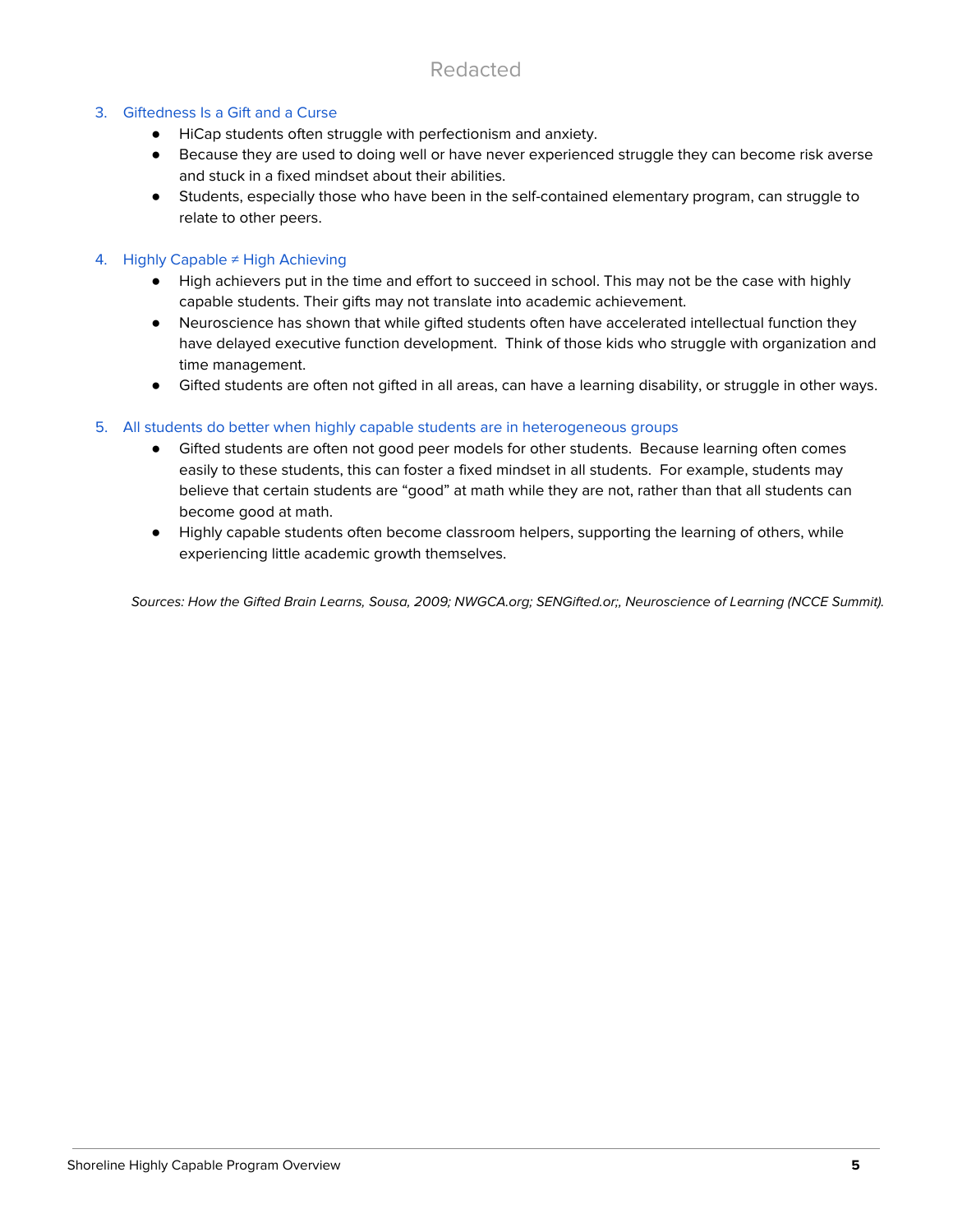### 3. Giftedness Is a Gift and a Curse

- HiCap students often struggle with perfectionism and anxiety.
- Because they are used to doing well or have never experienced struggle they can become risk averse and stuck in a fixed mindset about their abilities.
- Students, especially those who have been in the self-contained elementary program, can struggle to relate to other peers.

### 4. Highly Capable ≠ High Achieving

- High achievers put in the time and effort to succeed in school. This may not be the case with highly capable students. Their gifts may not translate into academic achievement.
- Neuroscience has shown that while gifted students often have accelerated intellectual function they have delayed executive function development. Think of those kids who struggle with organization and time management.
- Gifted students are often not gifted in all areas, can have a learning disability, or struggle in other ways.

### 5. All students do better when highly capable students are in heterogeneous groups

- Gifted students are often not good peer models for other students. Because learning often comes easily to these students, this can foster a fixed mindset in all students. For example, students may believe that certain students are "good" at math while they are not, rather than that all students can become good at math.
- Highly capable students often become classroom helpers, supporting the learning of others, while experiencing little academic growth themselves.

Sources: How the Gifted Brain Learns, Sousa, 2009; NWGCA.org; SENGifted.or;, Neuroscience of Learning (NCCE Summit).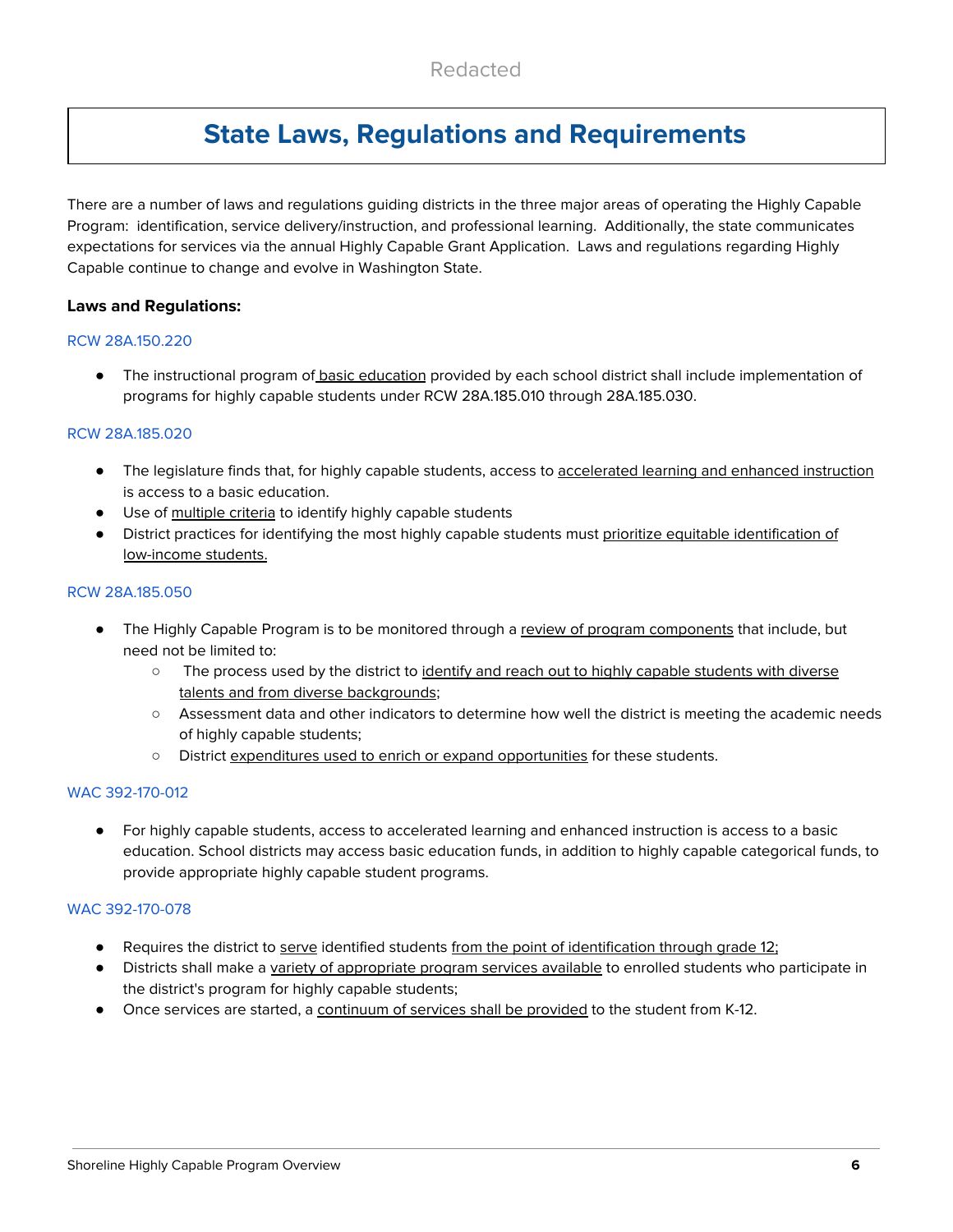# **State Laws, Regulations and Requirements**

There are a number of laws and regulations guiding districts in the three major areas of operating the Highly Capable Program: identification, service delivery/instruction, and professional learning. Additionally, the state communicates expectations for services via the annual Highly Capable Grant Application. Laws and regulations regarding Highly Capable continue to change and evolve in Washington State.

### **Laws and Regulations:**

#### RCW 28A.150.220

● The instructional program of basic education provided by each school district shall include implementation of programs for highly capable students under RCW 28A.185.010 through 28A.185.030.

#### RCW 28A.185.020

- The legislature finds that, for highly capable students, access to accelerated learning and enhanced instruction is access to a basic education.
- Use of multiple criteria to identify highly capable students
- District practices for identifying the most highly capable students must prioritize equitable identification of low-income students.

#### RCW 28A.185.050

- The Highly Capable Program is to be monitored through a review of program components that include, but need not be limited to:
	- o The process used by the district to identify and reach out to highly capable students with diverse talents and from diverse backgrounds;
	- Assessment data and other indicators to determine how well the district is meeting the academic needs of highly capable students;
	- District expenditures used to enrich or expand opportunities for these students.

### WAC 392-170-012

● For highly capable students, access to accelerated learning and enhanced instruction is access to a basic education. School districts may access basic education funds, in addition to highly capable categorical funds, to provide appropriate highly capable student programs.

### WAC 392-170-078

- Requires the district to serve identified students from the point of identification through grade 12;
- Districts shall make a variety of appropriate program services available to enrolled students who participate in the district's program for highly capable students;
- Once services are started, a continuum of services shall be provided to the student from K-12.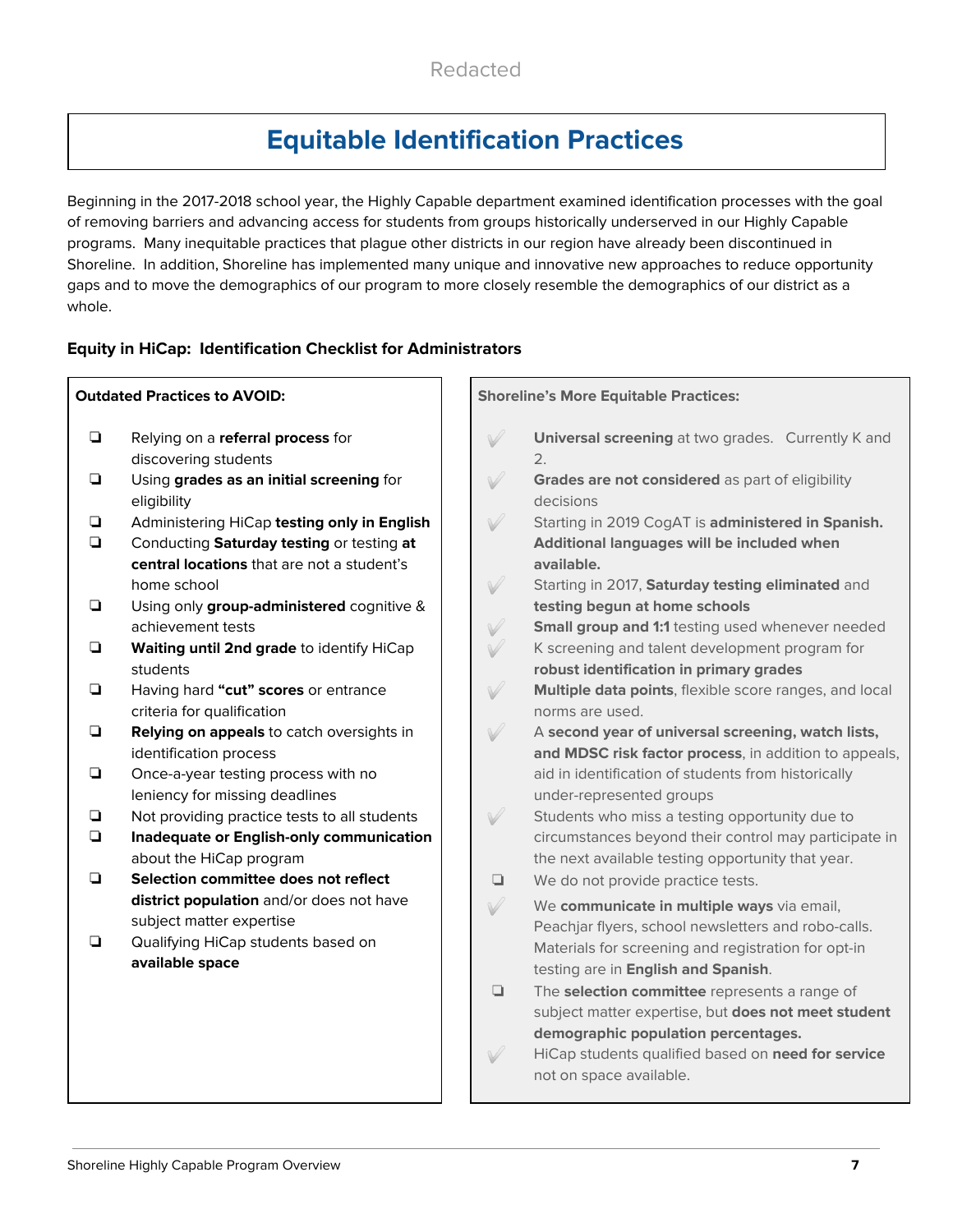# **Equitable Identification Practices**

Beginning in the 2017-2018 school year, the Highly Capable department examined identification processes with the goal of removing barriers and advancing access for students from groups historically underserved in our Highly Capable programs. Many inequitable practices that plague other districts in our region have already been discontinued in Shoreline. In addition, Shoreline has implemented many unique and innovative new approaches to reduce opportunity gaps and to move the demographics of our program to more closely resemble the demographics of our district as a whole.

### **Equity in HiCap: Identification Checklist for Administrators**

|                  | <b>Outdated Practices to AVOID:</b>                                                                                                    | <b>Shoreline's More Equitable Practices:</b>                                                                                                      |
|------------------|----------------------------------------------------------------------------------------------------------------------------------------|---------------------------------------------------------------------------------------------------------------------------------------------------|
| $\Box$           | Relying on a referral process for<br>discovering students                                                                              | $\sqrt{}$<br>Universal screening at two grades. Currently K and<br>2.                                                                             |
| $\Box$           | Using grades as an initial screening for<br>eligibility                                                                                | $\sqrt{}$<br>Grades are not considered as part of eligibility<br>decisions                                                                        |
| $\Box$<br>$\Box$ | Administering HiCap testing only in English<br>Conducting Saturday testing or testing at<br>central locations that are not a student's | $\sqrt{}$<br>Starting in 2019 CogAT is administered in Spanish.<br>Additional languages will be included when<br>available.                       |
| ❏                | home school<br>Using only group-administered cognitive &<br>achievement tests                                                          | V<br>Starting in 2017, Saturday testing eliminated and<br>testing begun at home schools<br>V<br>Small group and 1:1 testing used whenever needed  |
| $\Box$           | Waiting until 2nd grade to identify HiCap<br>students                                                                                  | $\sqrt{}$<br>K screening and talent development program for<br>robust identification in primary grades                                            |
| ❏                | Having hard "cut" scores or entrance<br>criteria for qualification                                                                     | $\sqrt{}$<br>Multiple data points, flexible score ranges, and local<br>norms are used.                                                            |
| $\Box$           | Relying on appeals to catch oversights in<br>identification process                                                                    | $\sqrt{}$<br>A second year of universal screening, watch lists,<br>and MDSC risk factor process, in addition to appeals,                          |
| ❏                | Once-a-year testing process with no<br>leniency for missing deadlines                                                                  | aid in identification of students from historically<br>under-represented groups                                                                   |
| $\Box$<br>$\Box$ | Not providing practice tests to all students<br>Inadequate or English-only communication                                               | V<br>Students who miss a testing opportunity due to<br>circumstances beyond their control may participate in                                      |
| $\Box$           | about the HiCap program<br>Selection committee does not reflect                                                                        | the next available testing opportunity that year.<br>We do not provide practice tests.<br>▫                                                       |
|                  | district population and/or does not have<br>subject matter expertise                                                                   | $\sqrt{}$<br>We communicate in multiple ways via email,<br>Peachjar flyers, school newsletters and robo-calls.                                    |
| $\Box$           | Qualifying HiCap students based on<br>available space                                                                                  | Materials for screening and registration for opt-in<br>testing are in English and Spanish.                                                        |
|                  |                                                                                                                                        | The selection committee represents a range of<br>O.<br>subject matter expertise, but does not meet student<br>demographic population percentages. |
|                  |                                                                                                                                        | HiCap students qualified based on need for service<br>not on space available.                                                                     |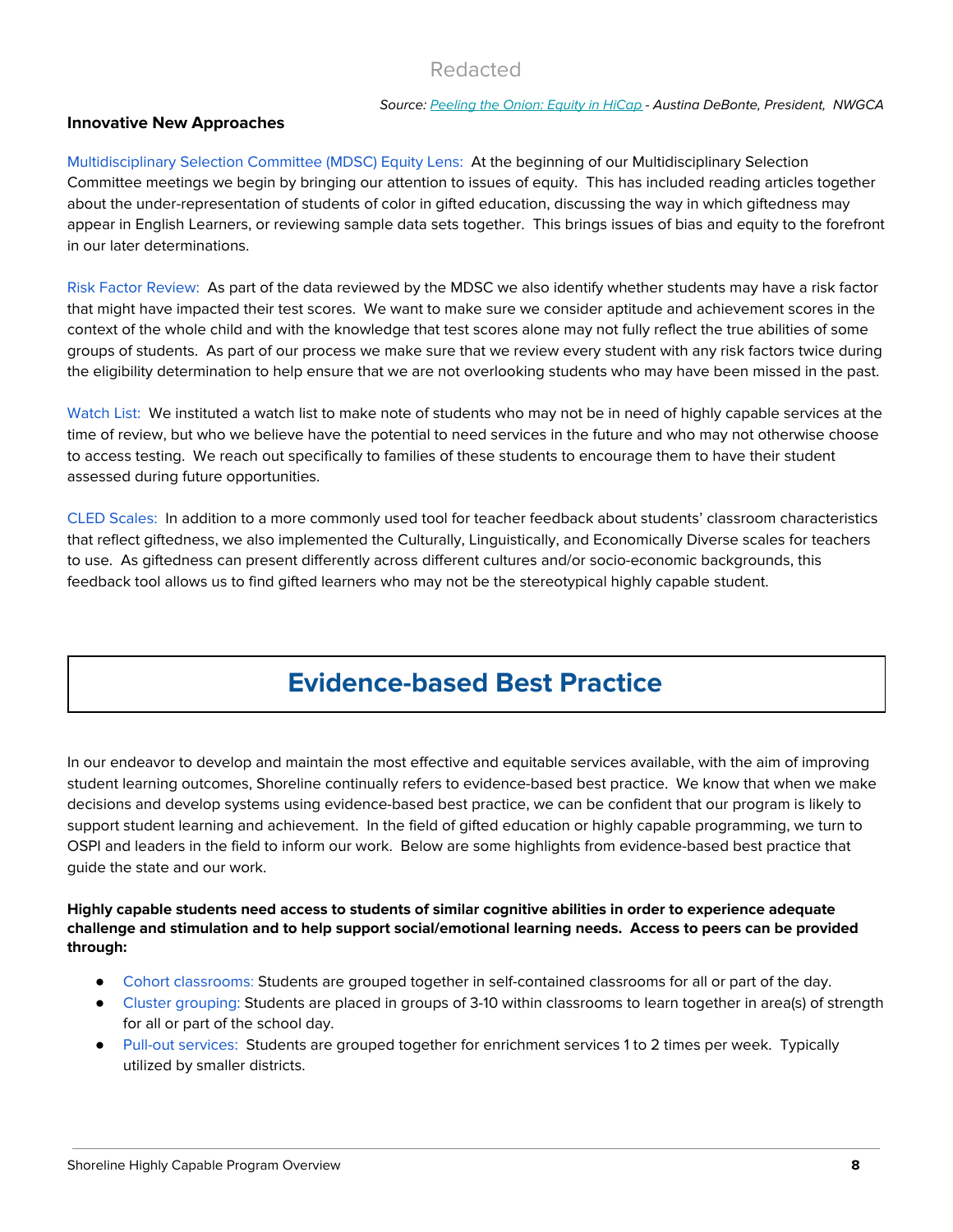#### Source: [Peeling](http://www.tinyurl.com/PeelingtheOnion) the Onion: Equity in HiCap - Austina DeBonte, President, NWGCA

#### **Innovative New Approaches**

Multidisciplinary Selection Committee (MDSC) Equity Lens: At the beginning of our Multidisciplinary Selection Committee meetings we begin by bringing our attention to issues of equity. This has included reading articles together about the under-representation of students of color in gifted education, discussing the way in which giftedness may appear in English Learners, or reviewing sample data sets together. This brings issues of bias and equity to the forefront in our later determinations.

Risk Factor Review: As part of the data reviewed by the MDSC we also identify whether students may have a risk factor that might have impacted their test scores. We want to make sure we consider aptitude and achievement scores in the context of the whole child and with the knowledge that test scores alone may not fully reflect the true abilities of some groups of students. As part of our process we make sure that we review every student with any risk factors twice during the eligibility determination to help ensure that we are not overlooking students who may have been missed in the past.

Watch List: We instituted a watch list to make note of students who may not be in need of highly capable services at the time of review, but who we believe have the potential to need services in the future and who may not otherwise choose to access testing. We reach out specifically to families of these students to encourage them to have their student assessed during future opportunities.

CLED Scales: In addition to a more commonly used tool for teacher feedback about students' classroom characteristics that reflect giftedness, we also implemented the Culturally, Linguistically, and Economically Diverse scales for teachers to use. As giftedness can present differently across different cultures and/or socio-economic backgrounds, this feedback tool allows us to find gifted learners who may not be the stereotypical highly capable student.

# **Evidence-based Best Practice**

In our endeavor to develop and maintain the most effective and equitable services available, with the aim of improving student learning outcomes, Shoreline continually refers to evidence-based best practice. We know that when we make decisions and develop systems using evidence-based best practice, we can be confident that our program is likely to support student learning and achievement. In the field of gifted education or highly capable programming, we turn to OSPI and leaders in the field to inform our work. Below are some highlights from evidence-based best practice that quide the state and our work.

#### **Highly capable students need access to students of similar cognitive abilities in order to experience adequate challenge and stimulation and to help support social/emotional learning needs. Access to peers can be provided through:**

- Cohort classrooms: Students are grouped together in self-contained classrooms for all or part of the day.
- Cluster grouping: Students are placed in groups of 3-10 within classrooms to learn together in area(s) of strength for all or part of the school day.
- **●** Pull-out services: Students are grouped together for enrichment services 1 to 2 times per week. Typically utilized by smaller districts.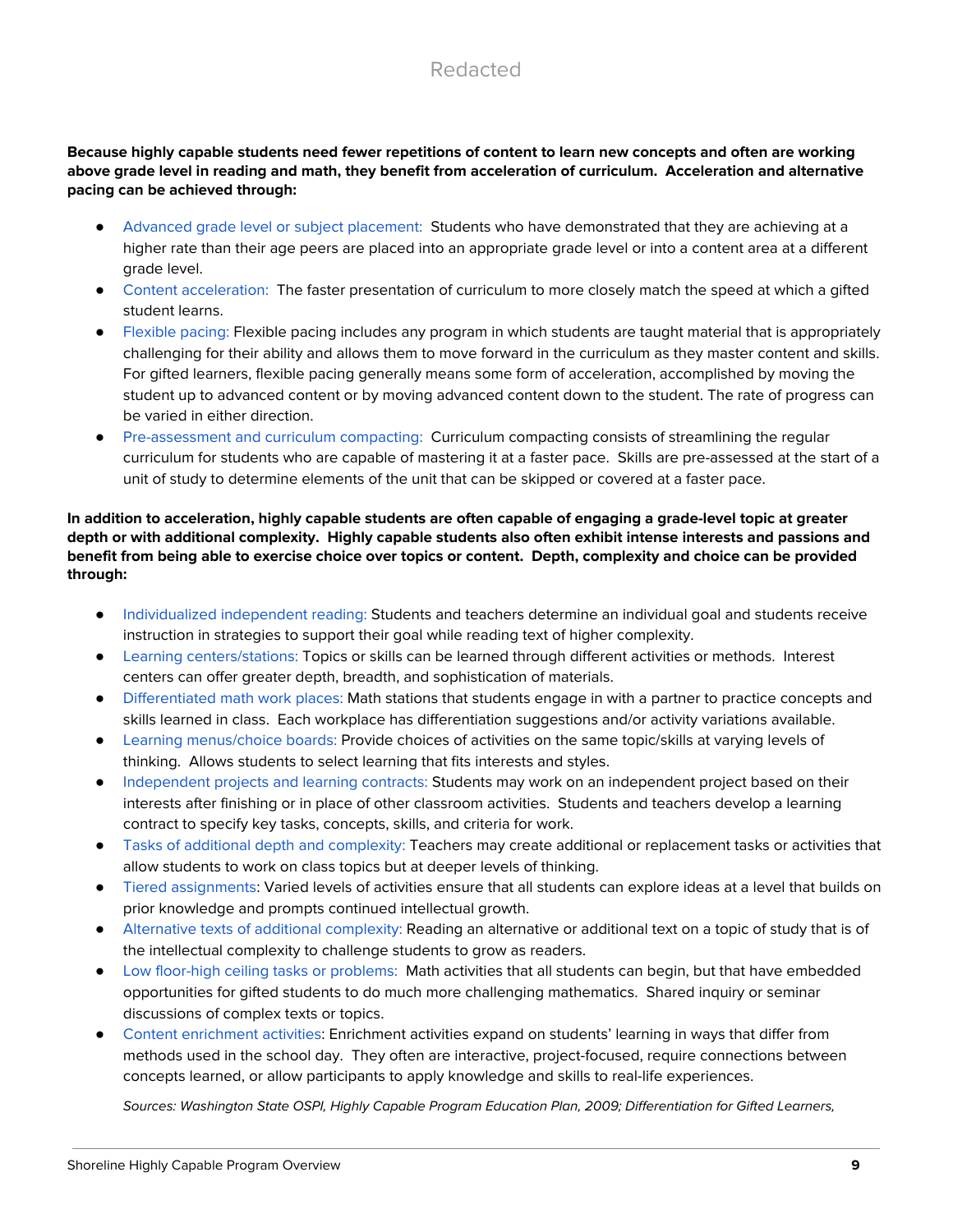#### Because highly capable students need fewer repetitions of content to learn new concepts and often are working above grade level in reading and math, they benefit from acceleration of curriculum. Acceleration and alternative **pacing can be achieved through:**

- Advanced grade level or subject placement: Students who have demonstrated that they are achieving at a higher rate than their age peers are placed into an appropriate grade level or into a content area at a different grade level.
- Content acceleration: The faster presentation of curriculum to more closely match the speed at which a gifted student learns.
- Flexible pacing: Flexible pacing includes any program in which students are taught material that is appropriately challenging for their ability and allows them to move forward in the curriculum as they master content and skills. For gifted learners, flexible pacing generally means some form of acceleration, accomplished by moving the student up to advanced content or by moving advanced content down to the student. The rate of progress can be varied in either direction.
- Pre-assessment and curriculum compacting: Curriculum compacting consists of streamlining the regular curriculum for students who are capable of mastering it at a faster pace. Skills are pre-assessed at the start of a unit of study to determine elements of the unit that can be skipped or covered at a faster pace.

### In addition to acceleration, highly capable students are often capable of engaging a grade-level topic at greater depth or with additional complexity. Highly capable students also often exhibit intense interests and passions and benefit from being able to exercise choice over topics or content. Depth, complexity and choice can be provided **through:**

- Individualized independent reading: Students and teachers determine an individual goal and students receive instruction in strategies to support their goal while reading text of higher complexity.
- Learning centers/stations: Topics or skills can be learned through different activities or methods. Interest centers can offer greater depth, breadth, and sophistication of materials.
- Differentiated math work places: Math stations that students engage in with a partner to practice concepts and skills learned in class. Each workplace has differentiation suggestions and/or activity variations available.
- Learning menus/choice boards: Provide choices of activities on the same topic/skills at varying levels of thinking. Allows students to select learning that fits interests and styles.
- Independent projects and learning contracts: Students may work on an independent project based on their interests after finishing or in place of other classroom activities. Students and teachers develop a learning contract to specify key tasks, concepts, skills, and criteria for work.
- Tasks of additional depth and complexity: Teachers may create additional or replacement tasks or activities that allow students to work on class topics but at deeper levels of thinking.
- Tiered assignments: Varied levels of activities ensure that all students can explore ideas at a level that builds on prior knowledge and prompts continued intellectual growth.
- Alternative texts of additional complexity: Reading an alternative or additional text on a topic of study that is of the intellectual complexity to challenge students to grow as readers.
- Low floor-high ceiling tasks or problems: Math activities that all students can begin, but that have embedded opportunities for gifted students to do much more challenging mathematics. Shared inquiry or seminar discussions of complex texts or topics.
- Content enrichment activities: Enrichment activities expand on students' learning in ways that differ from methods used in the school day. They often are interactive, project-focused, require connections between concepts learned, or allow participants to apply knowledge and skills to real-life experiences.

Sources: Washington State OSPI, Highly Capable Program Education Plan, 2009; Differentiation for Gifted Learners,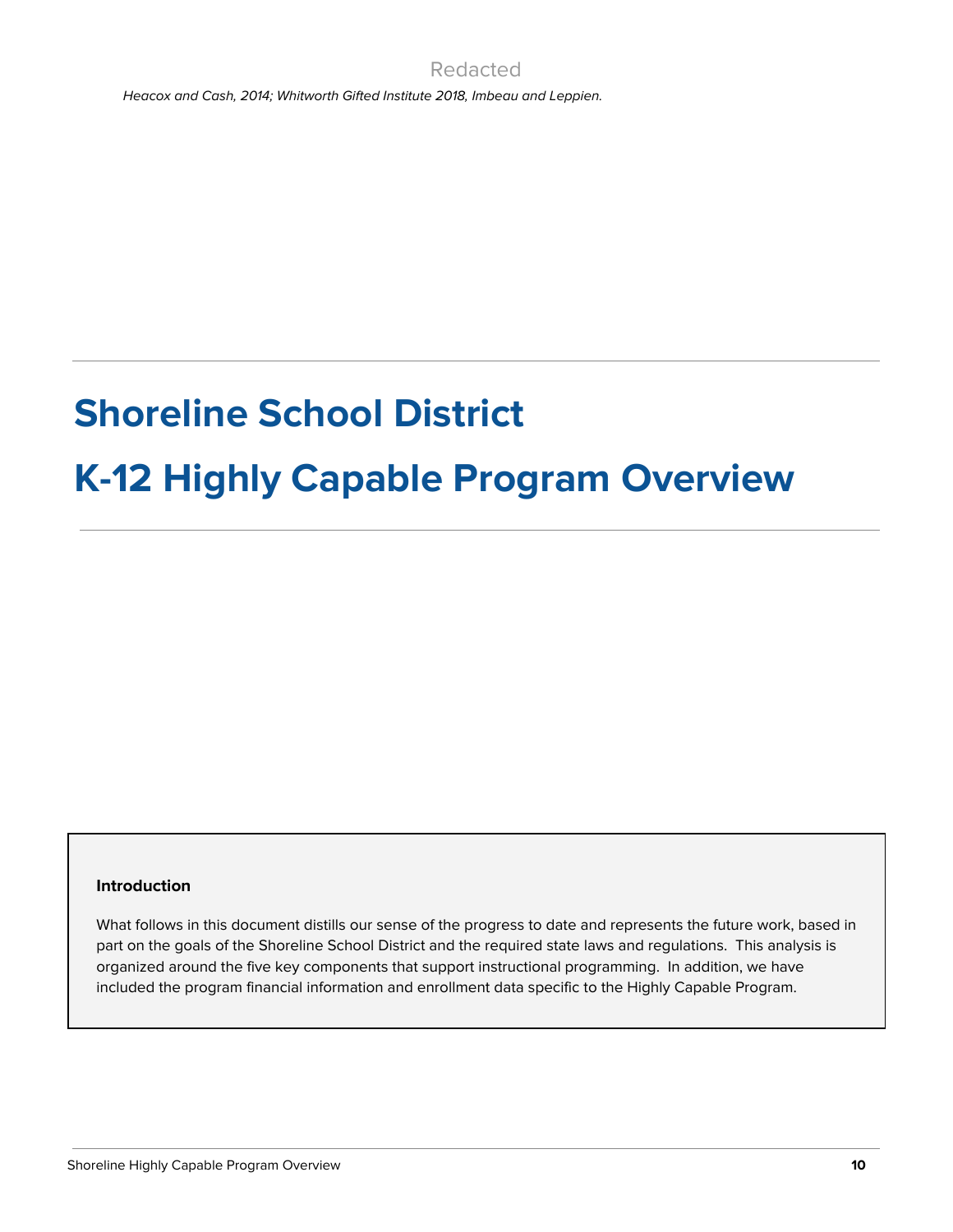Heacox and Cash, 2014; Whitworth Gifted Institute 2018, Imbeau and Leppien.

# **Shoreline School District**

# **K-12 Highly Capable Program Overview**

#### **Introduction**

What follows in this document distills our sense of the progress to date and represents the future work, based in part on the goals of the Shoreline School District and the required state laws and regulations. This analysis is organized around the five key components that support instructional programming. In addition, we have included the program financial information and enrollment data specific to the Highly Capable Program.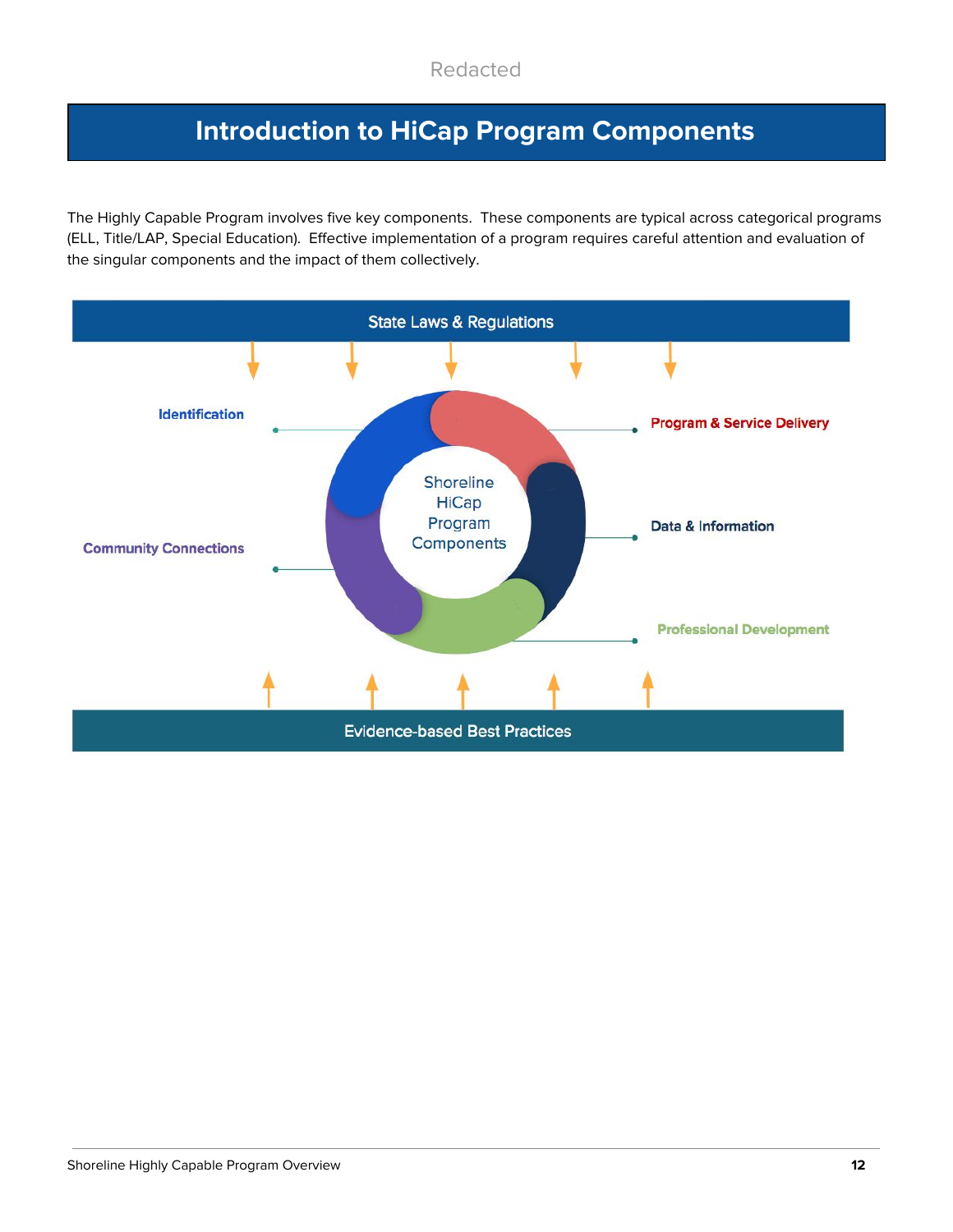# **Introduction to HiCap Program Components**

The Highly Capable Program involves five key components. These components are typical across categorical programs (ELL, Title/LAP, Special Education). Effective implementation of a program requires careful attention and evaluation of the singular components and the impact of them collectively.

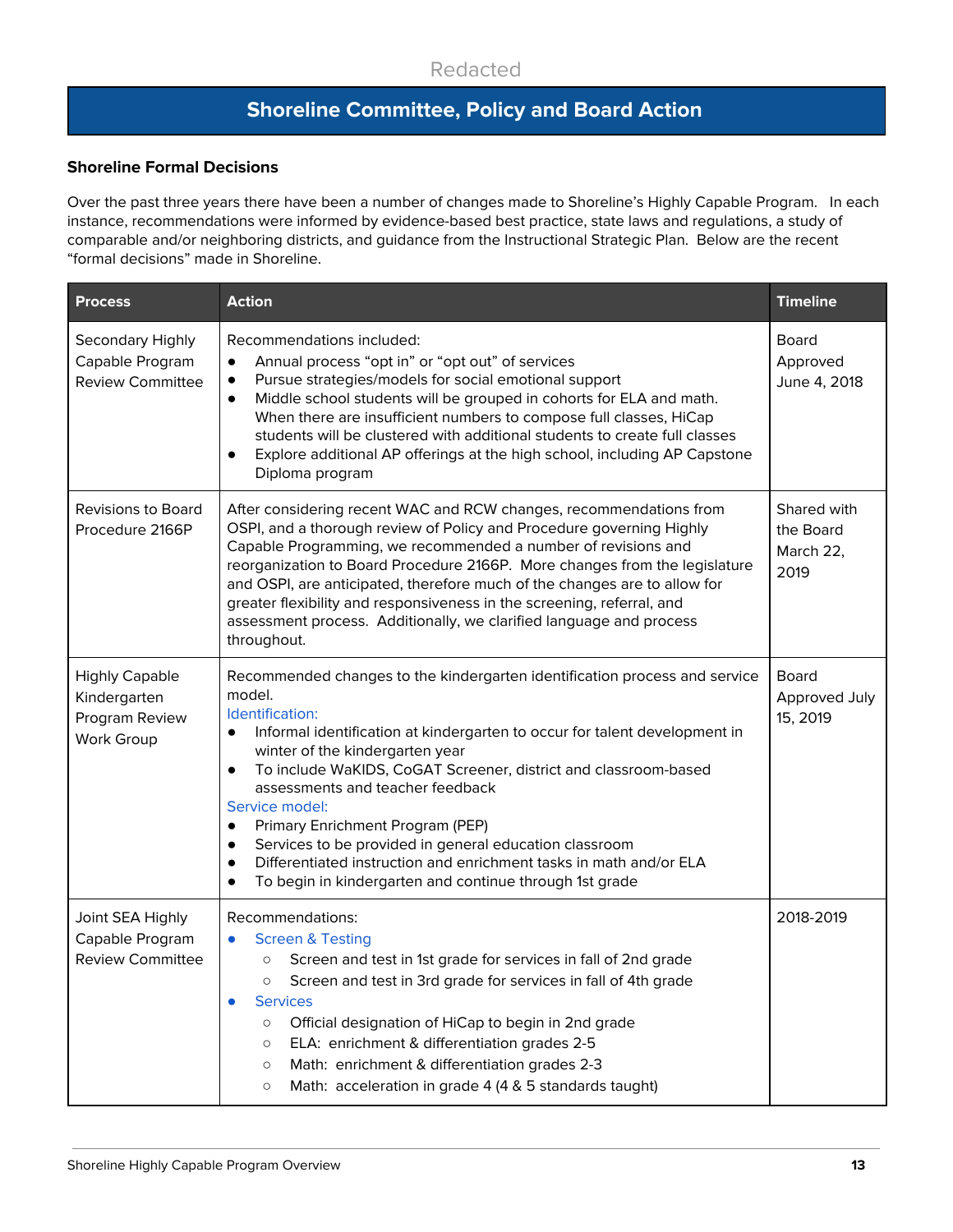# **Shoreline Committee, Policy and Board Action**

### **Shoreline Formal Decisions**

Over the past three years there have been a number of changes made to Shoreline's Highly Capable Program. In each instance, recommendations were informed by evidence-based best practice, state laws and regulations, a study of comparable and/or neighboring districts, and guidance from the Instructional Strategic Plan. Below are the recent "formal decisions" made in Shoreline.

| <b>Process</b>                                                        | <b>Action</b>                                                                                                                                                                                                                                                                                                                                                                                                                                                                                                                                                                                 | <b>Timeline</b>                               |
|-----------------------------------------------------------------------|-----------------------------------------------------------------------------------------------------------------------------------------------------------------------------------------------------------------------------------------------------------------------------------------------------------------------------------------------------------------------------------------------------------------------------------------------------------------------------------------------------------------------------------------------------------------------------------------------|-----------------------------------------------|
| Secondary Highly<br>Capable Program<br><b>Review Committee</b>        | Recommendations included:<br>Annual process "opt in" or "opt out" of services<br>$\bullet$<br>Pursue strategies/models for social emotional support<br>Middle school students will be grouped in cohorts for ELA and math.<br>$\bullet$<br>When there are insufficient numbers to compose full classes, HiCap<br>students will be clustered with additional students to create full classes<br>Explore additional AP offerings at the high school, including AP Capstone<br>Diploma program                                                                                                   | <b>Board</b><br>Approved<br>June 4, 2018      |
| <b>Revisions to Board</b><br>Procedure 2166P                          | After considering recent WAC and RCW changes, recommendations from<br>OSPI, and a thorough review of Policy and Procedure governing Highly<br>Capable Programming, we recommended a number of revisions and<br>reorganization to Board Procedure 2166P. More changes from the legislature<br>and OSPI, are anticipated, therefore much of the changes are to allow for<br>greater flexibility and responsiveness in the screening, referral, and<br>assessment process. Additionally, we clarified language and process<br>throughout.                                                        | Shared with<br>the Board<br>March 22,<br>2019 |
| <b>Highly Capable</b><br>Kindergarten<br>Program Review<br>Work Group | Recommended changes to the kindergarten identification process and service<br>model.<br>Identification:<br>Informal identification at kindergarten to occur for talent development in<br>winter of the kindergarten year<br>To include WaKIDS, CoGAT Screener, district and classroom-based<br>$\bullet$<br>assessments and teacher feedback<br>Service model:<br>Primary Enrichment Program (PEP)<br>Services to be provided in general education classroom<br>Differentiated instruction and enrichment tasks in math and/or ELA<br>To begin in kindergarten and continue through 1st grade | <b>Board</b><br>Approved July<br>15, 2019     |
| Joint SEA Highly<br>Capable Program<br><b>Review Committee</b>        | Recommendations:<br><b>Screen &amp; Testing</b><br>$\bullet$<br>Screen and test in 1st grade for services in fall of 2nd grade<br>O<br>Screen and test in 3rd grade for services in fall of 4th grade<br><b>Services</b><br>$\bullet$<br>Official designation of HiCap to begin in 2nd grade<br>$\circ$<br>ELA: enrichment & differentiation grades 2-5<br>$\circ$<br>Math: enrichment & differentiation grades 2-3<br>$\circ$<br>Math: acceleration in grade 4 (4 & 5 standards taught)<br>$\circ$                                                                                           | 2018-2019                                     |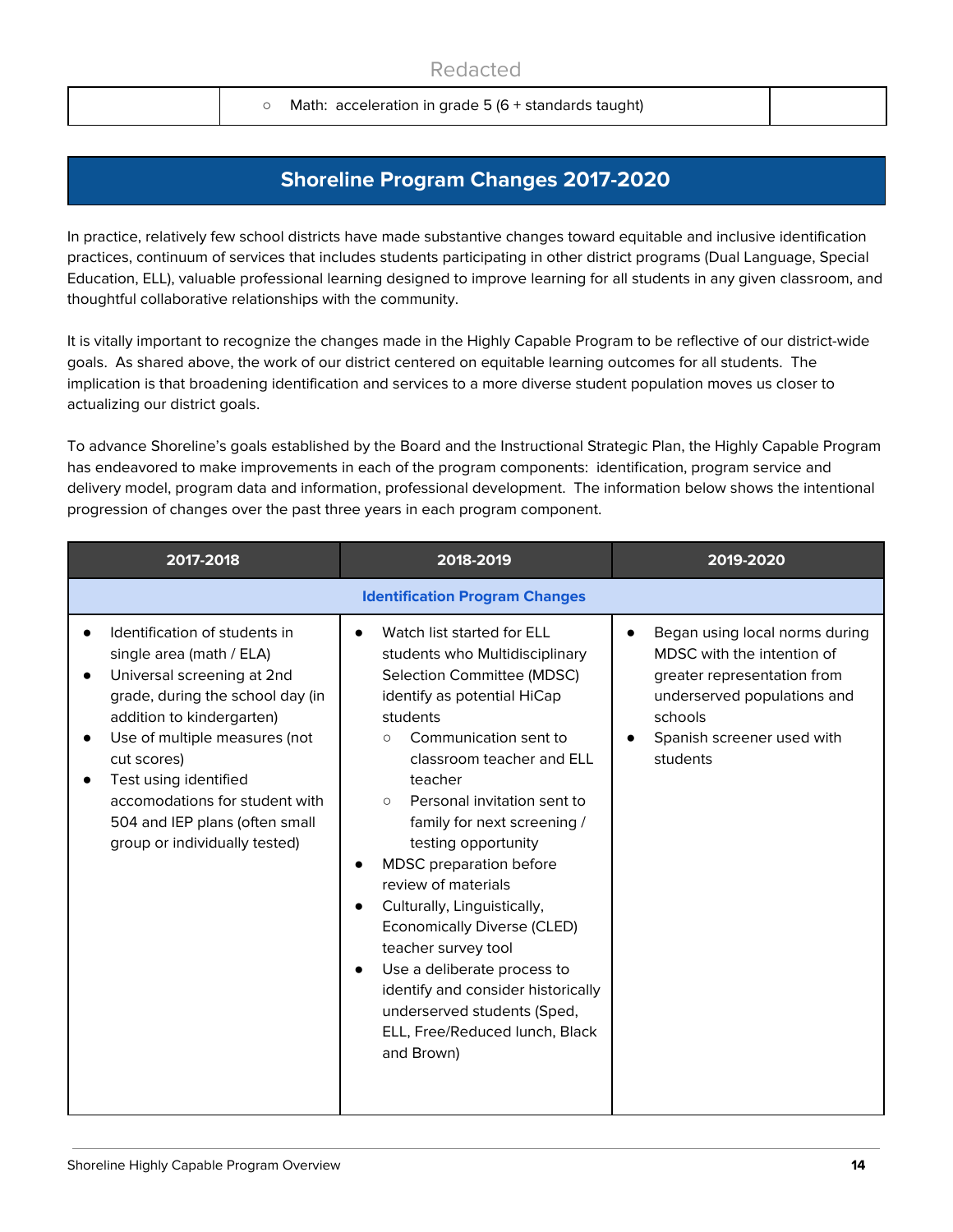○ Math: acceleration in grade 5 (6 + standards taught)

# **Shoreline Program Changes 2017-2020**

In practice, relatively few school districts have made substantive changes toward equitable and inclusive identification practices, continuum of services that includes students participating in other district programs (Dual Language, Special Education, ELL), valuable professional learning designed to improve learning for all students in any given classroom, and thoughtful collaborative relationships with the community.

It is vitally important to recognize the changes made in the Highly Capable Program to be reflective of our district-wide goals. As shared above, the work of our district centered on equitable learning outcomes for all students. The implication is that broadening identification and services to a more diverse student population moves us closer to actualizing our district goals.

To advance Shoreline's goals established by the Board and the Instructional Strategic Plan, the Highly Capable Program has endeavored to make improvements in each of the program components: identification, program service and delivery model, program data and information, professional development. The information below shows the intentional progression of changes over the past three years in each program component.

| 2017-2018                                                                                                                                                                                                                                                                                                                                           | 2018-2019                                                                                                                                                                                                                                                                                                                                                                                                                                                                                                                                                                                                                                                               | 2019-2020                                                                                                                                                                                    |
|-----------------------------------------------------------------------------------------------------------------------------------------------------------------------------------------------------------------------------------------------------------------------------------------------------------------------------------------------------|-------------------------------------------------------------------------------------------------------------------------------------------------------------------------------------------------------------------------------------------------------------------------------------------------------------------------------------------------------------------------------------------------------------------------------------------------------------------------------------------------------------------------------------------------------------------------------------------------------------------------------------------------------------------------|----------------------------------------------------------------------------------------------------------------------------------------------------------------------------------------------|
|                                                                                                                                                                                                                                                                                                                                                     | <b>Identification Program Changes</b>                                                                                                                                                                                                                                                                                                                                                                                                                                                                                                                                                                                                                                   |                                                                                                                                                                                              |
| Identification of students in<br>single area (math / ELA)<br>Universal screening at 2nd<br>$\bullet$<br>grade, during the school day (in<br>addition to kindergarten)<br>Use of multiple measures (not<br>cut scores)<br>Test using identified<br>accomodations for student with<br>504 and IEP plans (often small<br>group or individually tested) | Watch list started for ELL<br>$\bullet$<br>students who Multidisciplinary<br>Selection Committee (MDSC)<br>identify as potential HiCap<br>students<br>Communication sent to<br>$\circ$<br>classroom teacher and ELL<br>teacher<br>Personal invitation sent to<br>$\circ$<br>family for next screening /<br>testing opportunity<br>MDSC preparation before<br>$\bullet$<br>review of materials<br>Culturally, Linguistically,<br>$\bullet$<br><b>Economically Diverse (CLED)</b><br>teacher survey tool<br>Use a deliberate process to<br>$\bullet$<br>identify and consider historically<br>underserved students (Sped,<br>ELL, Free/Reduced lunch, Black<br>and Brown) | Began using local norms during<br>$\bullet$<br>MDSC with the intention of<br>greater representation from<br>underserved populations and<br>schools<br>Spanish screener used with<br>students |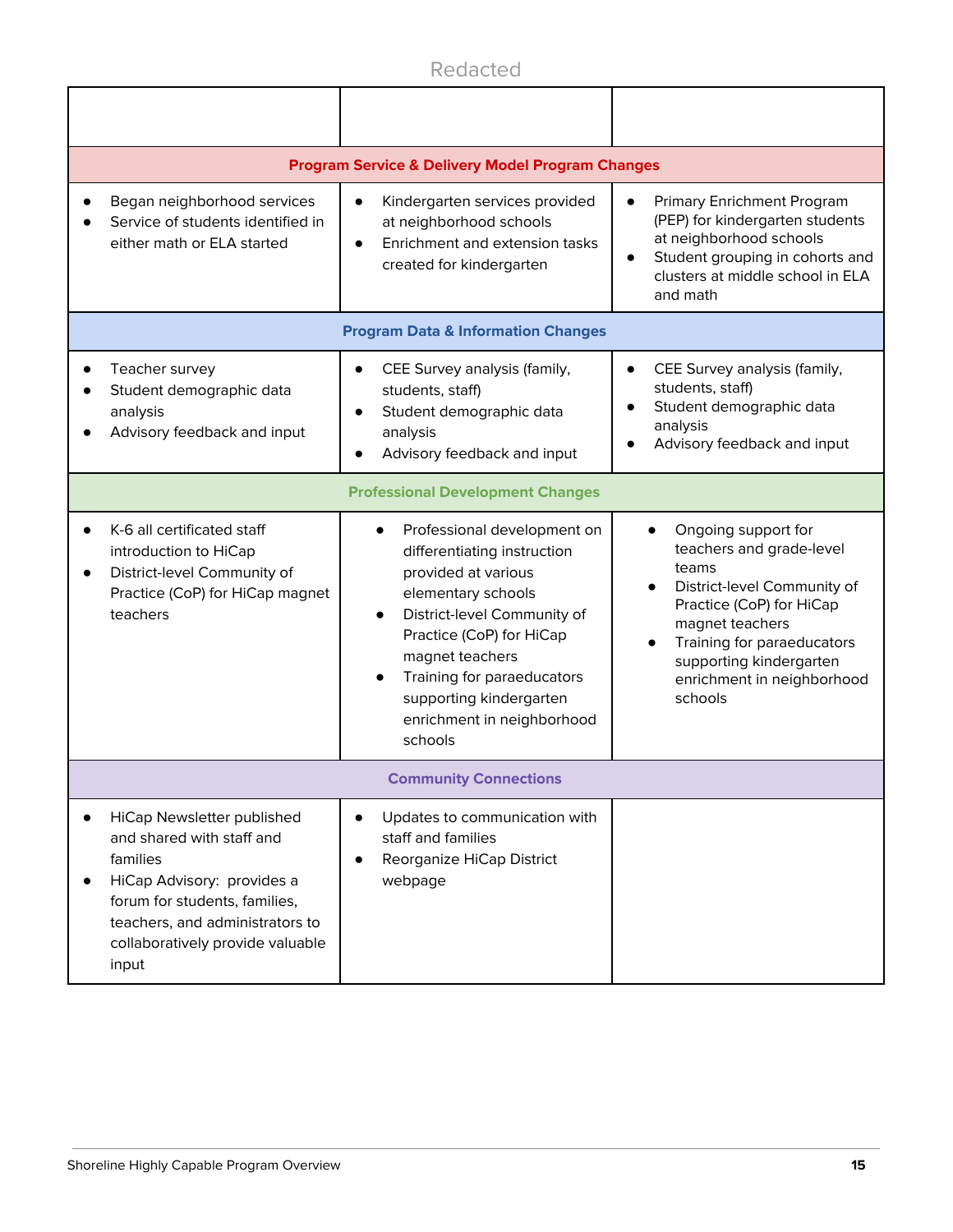|                                                                                                                                                                                                                    | <b>Program Service &amp; Delivery Model Program Changes</b>                                                                                                                                                                                                                                                                    |                                                                                                                                                                                                                                                       |  |  |  |  |
|--------------------------------------------------------------------------------------------------------------------------------------------------------------------------------------------------------------------|--------------------------------------------------------------------------------------------------------------------------------------------------------------------------------------------------------------------------------------------------------------------------------------------------------------------------------|-------------------------------------------------------------------------------------------------------------------------------------------------------------------------------------------------------------------------------------------------------|--|--|--|--|
| Began neighborhood services<br>Service of students identified in<br>either math or ELA started                                                                                                                     | Kindergarten services provided<br>$\bullet$<br>at neighborhood schools<br>Enrichment and extension tasks<br>$\bullet$<br>created for kindergarten                                                                                                                                                                              |                                                                                                                                                                                                                                                       |  |  |  |  |
|                                                                                                                                                                                                                    | <b>Program Data &amp; Information Changes</b>                                                                                                                                                                                                                                                                                  |                                                                                                                                                                                                                                                       |  |  |  |  |
| Teacher survey<br>Student demographic data<br>analysis<br>Advisory feedback and input                                                                                                                              | CEE Survey analysis (family,<br>$\bullet$<br>students, staff)<br>Student demographic data<br>$\bullet$<br>analysis<br>Advisory feedback and input                                                                                                                                                                              | CEE Survey analysis (family,<br>$\bullet$<br>students, staff)<br>Student demographic data<br>analysis<br>Advisory feedback and input                                                                                                                  |  |  |  |  |
|                                                                                                                                                                                                                    | <b>Professional Development Changes</b>                                                                                                                                                                                                                                                                                        |                                                                                                                                                                                                                                                       |  |  |  |  |
| K-6 all certificated staff<br>introduction to HiCap<br>District-level Community of<br>Practice (CoP) for HiCap magnet<br>teachers                                                                                  | Professional development on<br>$\bullet$<br>differentiating instruction<br>provided at various<br>elementary schools<br>District-level Community of<br>$\bullet$<br>Practice (CoP) for HiCap<br>magnet teachers<br>Training for paraeducators<br>$\bullet$<br>supporting kindergarten<br>enrichment in neighborhood<br>schools | Ongoing support for<br>teachers and grade-level<br>teams<br>District-level Community of<br>Practice (CoP) for HiCap<br>magnet teachers<br>Training for paraeducators<br>$\bullet$<br>supporting kindergarten<br>enrichment in neighborhood<br>schools |  |  |  |  |
|                                                                                                                                                                                                                    | <b>Community Connections</b>                                                                                                                                                                                                                                                                                                   |                                                                                                                                                                                                                                                       |  |  |  |  |
| HiCap Newsletter published<br>and shared with staff and<br>families<br>HiCap Advisory: provides a<br>forum for students, families,<br>teachers, and administrators to<br>collaboratively provide valuable<br>input | Updates to communication with<br>$\bullet$<br>staff and families<br>Reorganize HiCap District<br>$\bullet$<br>webpage                                                                                                                                                                                                          |                                                                                                                                                                                                                                                       |  |  |  |  |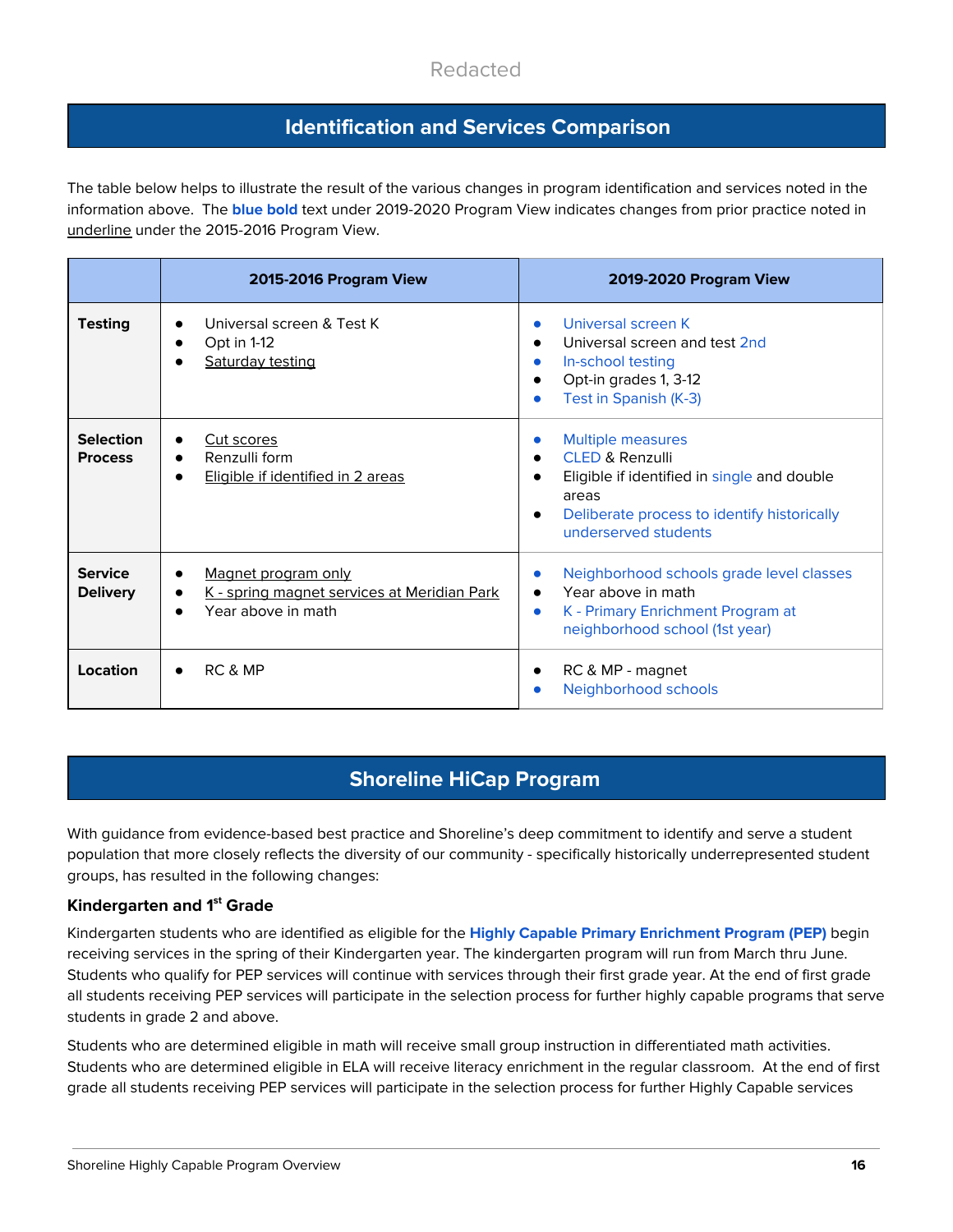## **Identification and Services Comparison**

The table below helps to illustrate the result of the various changes in program identification and services noted in the information above. The **blue bold** text under 2019-2020 Program View indicates changes from prior practice noted in underline under the 2015-2016 Program View.

|                                    | 2015-2016 Program View                                                                                  | 2019-2020 Program View                                                                                                                                                                |
|------------------------------------|---------------------------------------------------------------------------------------------------------|---------------------------------------------------------------------------------------------------------------------------------------------------------------------------------------|
| <b>Testing</b>                     | Universal screen & Test K<br>Opt in 1-12<br>Saturday testing                                            | Universal screen K<br>$\bullet$<br>Universal screen and test 2nd<br>In-school testing<br>Opt-in grades 1, 3-12<br>Test in Spanish (K-3)                                               |
| <b>Selection</b><br><b>Process</b> | Cut scores<br>$\bullet$<br>Renzulli form<br>$\bullet$<br>Eligible if identified in 2 areas<br>$\bullet$ | <b>Multiple measures</b><br><b>CLED &amp; Renzulli</b><br>Eligible if identified in single and double<br>areas<br>Deliberate process to identify historically<br>underserved students |
| <b>Service</b><br><b>Delivery</b>  | Magnet program only<br>$\bullet$<br>K - spring magnet services at Meridian Park<br>Year above in math   | Neighborhood schools grade level classes<br>Year above in math<br>K - Primary Enrichment Program at<br>$\bullet$<br>neighborhood school (1st year)                                    |
| Location                           | RC & MP<br>$\bullet$                                                                                    | RC & MP - magnet<br>Neighborhood schools                                                                                                                                              |

# **Shoreline HiCap Program**

With guidance from evidence-based best practice and Shoreline's deep commitment to identify and serve a student population that more closely reflects the diversity of our community - specifically historically underrepresented student groups, has resulted in the following changes:

### **Kindergarten and 1 st Grade**

Kindergarten students who are identified as eligible for the **Highly Capable Primary Enrichment Program (PEP)** begin receiving services in the spring of their Kindergarten year. The kindergarten program will run from March thru June. Students who qualify for PEP services will continue with services through their first grade year. At the end of first grade all students receiving PEP services will participate in the selection process for further highly capable programs that serve students in grade 2 and above.

Students who are determined eligible in math will receive small group instruction in differentiated math activities. Students who are determined eligible in ELA will receive literacy enrichment in the regular classroom. At the end of first grade all students receiving PEP services will participate in the selection process for further Highly Capable services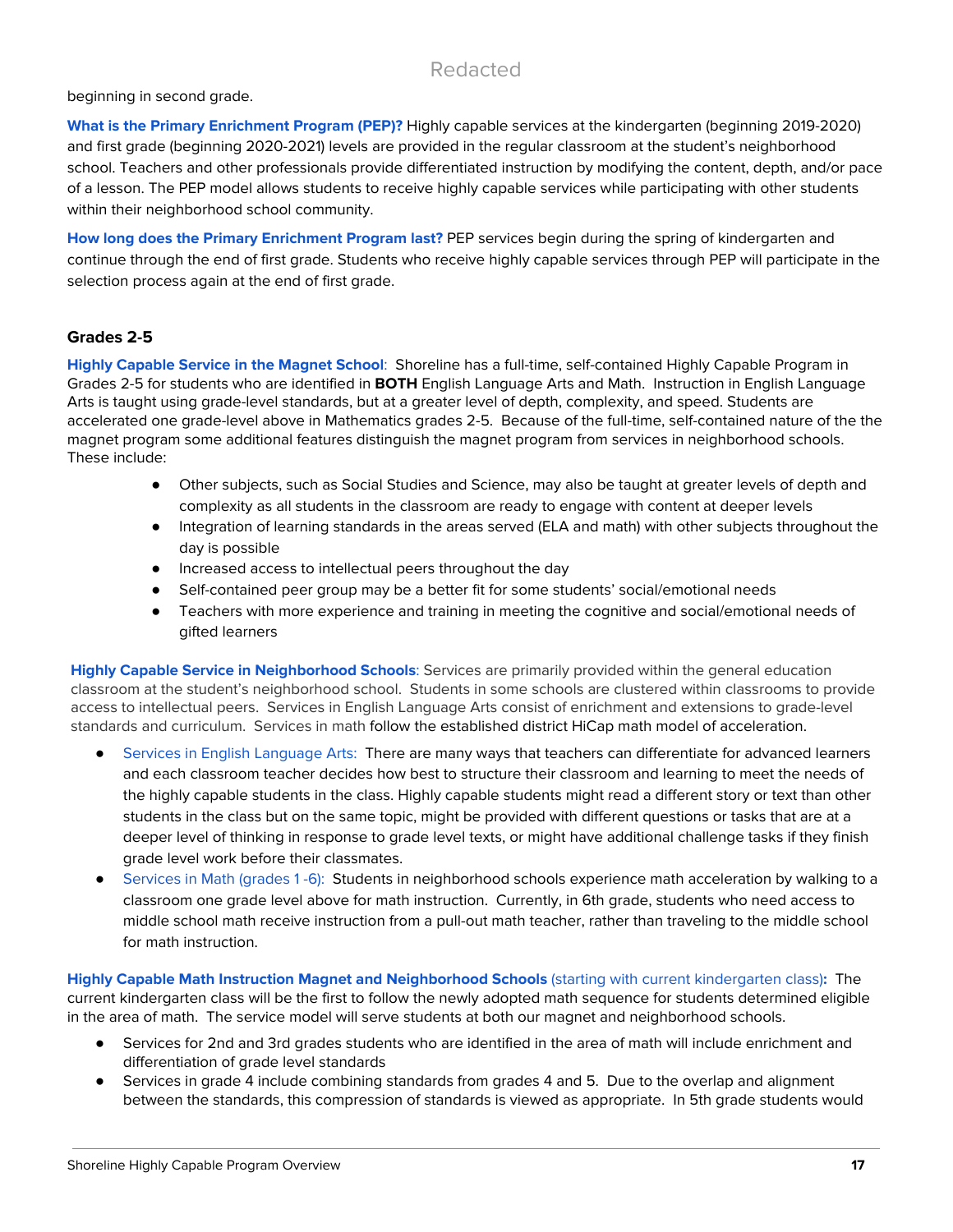beginning in second grade.

**What is the Primary Enrichment Program (PEP)?** Highly capable services at the kindergarten (beginning 2019-2020) and first grade (beginning 2020-2021) levels are provided in the regular classroom at the student's neighborhood school. Teachers and other professionals provide differentiated instruction by modifying the content, depth, and/or pace of a lesson. The PEP model allows students to receive highly capable services while participating with other students within their neighborhood school community.

**How long does the Primary Enrichment Program last?** PEP services begin during the spring of kindergarten and continue through the end of first grade. Students who receive highly capable services through PEP will participate in the selection process again at the end of first grade.

### **Grades 2-5**

**Highly Capable Service in the Magnet School**: Shoreline has a full-time, self-contained Highly Capable Program in Grades 2-5 for students who are identified in **BOTH** English Language Arts and Math. Instruction in English Language Arts is taught using grade-level standards, but at a greater level of depth, complexity, and speed. Students are accelerated one grade-level above in Mathematics grades 2-5. Because of the full-time, self-contained nature of the the magnet program some additional features distinguish the magnet program from services in neighborhood schools. These include:

- Other subjects, such as Social Studies and Science, may also be taught at greater levels of depth and complexity as all students in the classroom are ready to engage with content at deeper levels
- Integration of learning standards in the areas served (ELA and math) with other subjects throughout the day is possible
- Increased access to intellectual peers throughout the day
- Self-contained peer group may be a better fit for some students' social/emotional needs
- Teachers with more experience and training in meeting the cognitive and social/emotional needs of gifted learners

**Highly Capable Service in Neighborhood Schools**: Services are primarily provided within the general education classroom at the student's neighborhood school. Students in some schools are clustered within classrooms to provide access to intellectual peers. Services in English Language Arts consist of enrichment and extensions to grade-level standards and curriculum. Services in math follow the established district HiCap math model of acceleration.

- **●** Services in English Language Arts: There are many ways that teachers can differentiate for advanced learners and each classroom teacher decides how best to structure their classroom and learning to meet the needs of the highly capable students in the class. Highly capable students might read a different story or text than other students in the class but on the same topic, might be provided with different questions or tasks that are at a deeper level of thinking in response to grade level texts, or might have additional challenge tasks if they finish grade level work before their classmates.
- **●** Services in Math (grades 1 -6): Students in neighborhood schools experience math acceleration by walking to a classroom one grade level above for math instruction. Currently, in 6th grade, students who need access to middle school math receive instruction from a pull-out math teacher, rather than traveling to the middle school for math instruction.

**Highly Capable Math Instruction Magnet and Neighborhood Schools** (starting with current kindergarten class)**:** The current kindergarten class will be the first to follow the newly adopted math sequence for students determined eligible in the area of math. The service model will serve students at both our magnet and neighborhood schools.

- Services for 2nd and 3rd grades students who are identified in the area of math will include enrichment and differentiation of grade level standards
- Services in grade 4 include combining standards from grades 4 and 5. Due to the overlap and alignment between the standards, this compression of standards is viewed as appropriate. In 5th grade students would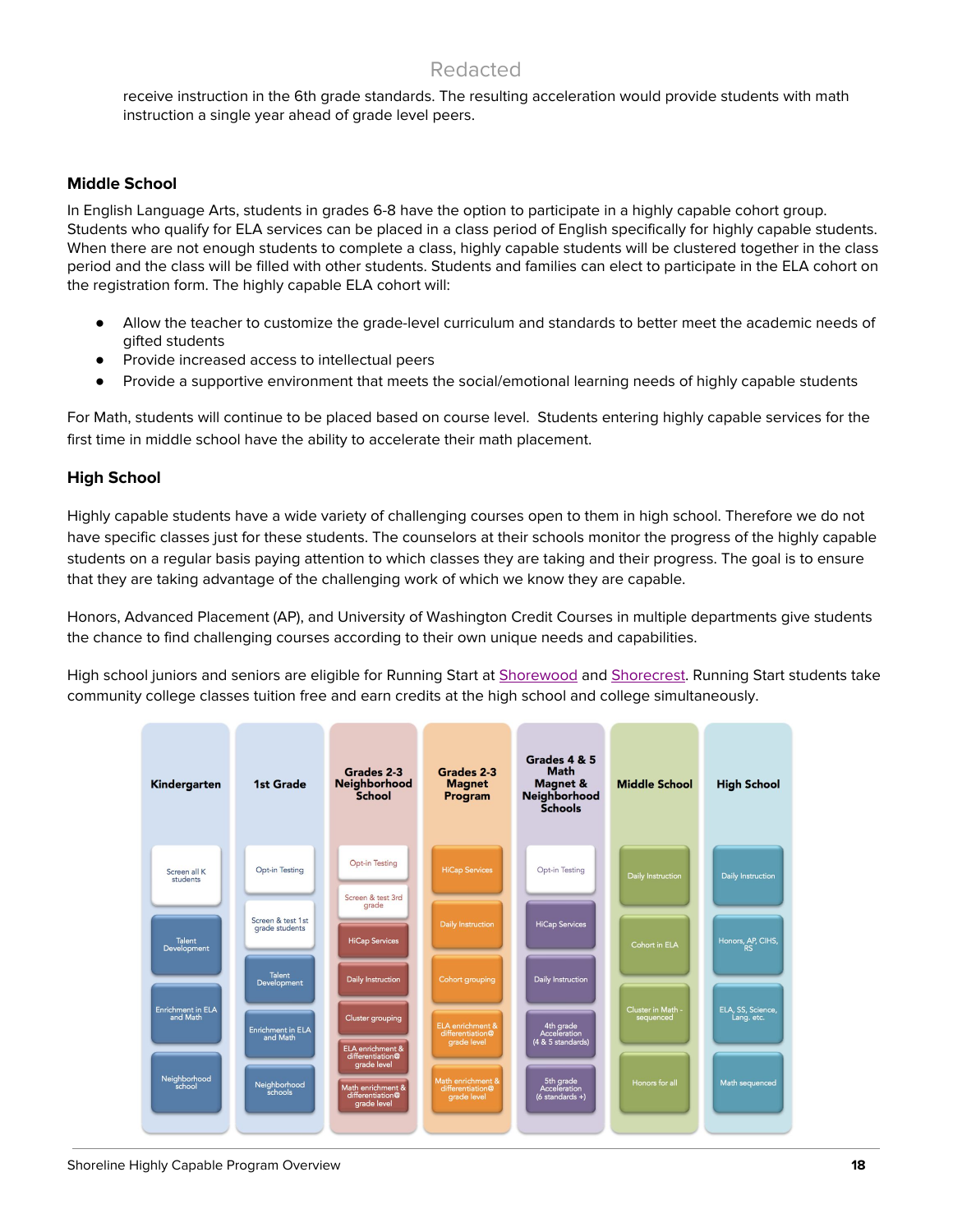receive instruction in the 6th grade standards. The resulting acceleration would provide students with math instruction a single year ahead of grade level peers.

### **Middle School**

In English Language Arts, students in grades 6-8 have the option to participate in a highly capable cohort group. Students who qualify for ELA services can be placed in a class period of English specifically for highly capable students. When there are not enough students to complete a class, highly capable students will be clustered together in the class period and the class will be filled with other students. Students and families can elect to participate in the ELA cohort on the registration form. The highly capable ELA cohort will:

- Allow the teacher to customize the grade-level curriculum and standards to better meet the academic needs of gifted students
- Provide increased access to intellectual peers
- Provide a supportive environment that meets the social/emotional learning needs of highly capable students

For Math, students will continue to be placed based on course level. Students entering highly capable services for the first time in middle school have the ability to accelerate their math placement.

### **High School**

Highly capable students have a wide variety of challenging courses open to them in high school. Therefore we do not have specific classes just for these students. The counselors at their schools monitor the progress of the highly capable students on a regular basis paying attention to which classes they are taking and their progress. The goal is to ensure that they are taking advantage of the challenging work of which we know they are capable.

Honors, Advanced Placement (AP), and University of Washington Credit Courses in multiple departments give students the chance to find challenging courses according to their own unique needs and capabilities.

High school juniors and seniors are eligible for Running Start at [Shorewood](https://www.shorelineschools.org/site/Default.aspx?PageID=719) and [Shorecrest](https://www.shorelineschools.org/site/Default.aspx?PageID=709). Running Start students take community college classes tuition free and earn credits at the high school and college simultaneously.

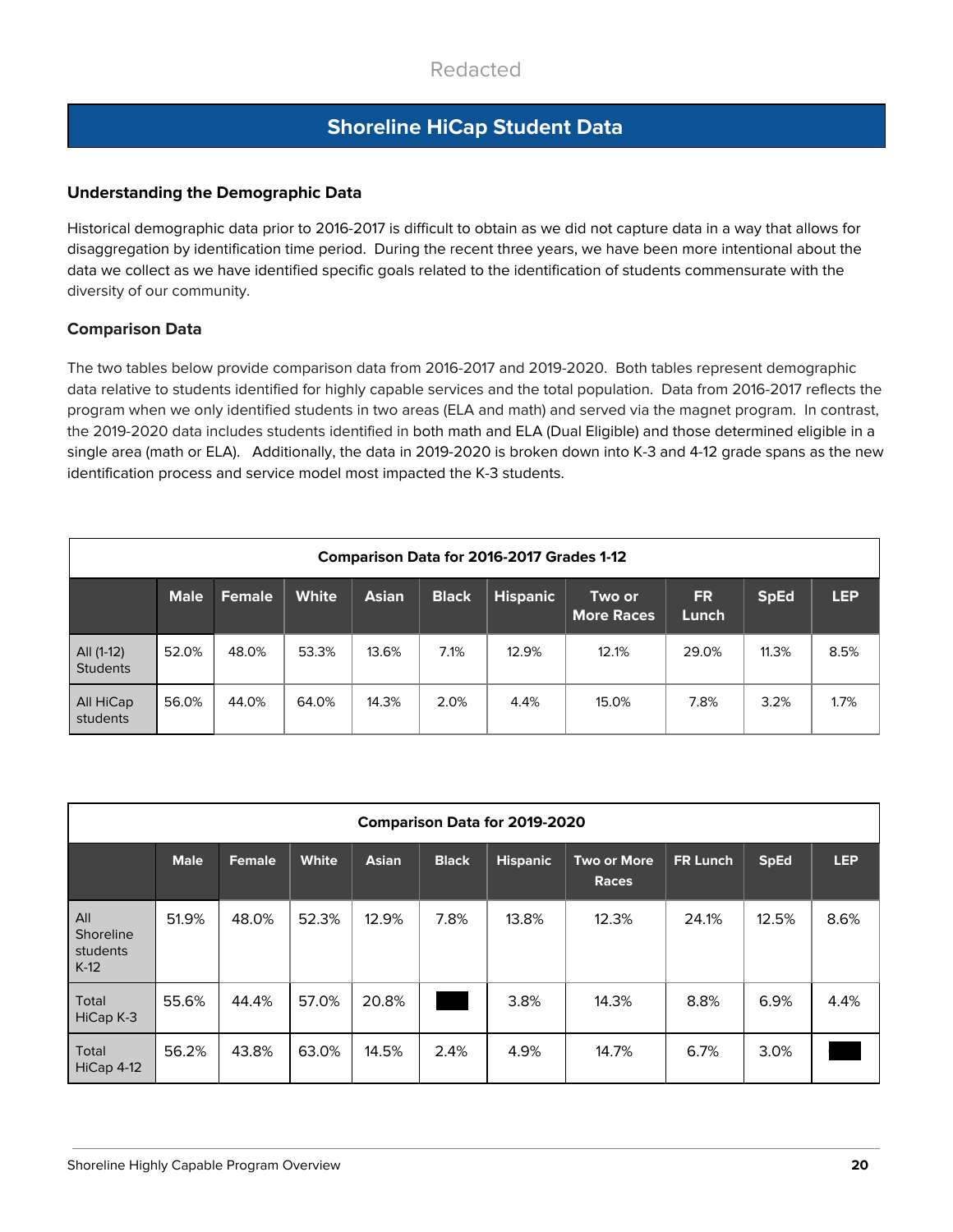# **Shoreline HiCap Student Data**

### **Understanding the Demographic Data**

Historical demographic data prior to 2016-2017 is difficult to obtain as we did not capture data in a way that allows for disaggregation by identification time period. During the recent three years, we have been more intentional about the data we collect as we have identified specific goals related to the identification of students commensurate with the diversity of our community.

### **Comparison Data**

The two tables below provide comparison data from 2016-2017 and 2019-2020. Both tables represent demographic data relative to students identified for highly capable services and the total population. Data from 2016-2017 reflects the program when we only identified students in two areas (ELA and math) and served via the magnet program. In contrast, the 2019-2020 data includes students identified in both math and ELA (Dual Eligible) and those determined eligible in a single area (math or ELA). Additionally, the data in 2019-2020 is broken down into K-3 and 4-12 grade spans as the new identification process and service model most impacted the K-3 students.

|                               | <b>Comparison Data for 2016-2017 Grades 1-12</b> |               |              |              |              |                 |                             |                    |             |            |  |  |
|-------------------------------|--------------------------------------------------|---------------|--------------|--------------|--------------|-----------------|-----------------------------|--------------------|-------------|------------|--|--|
|                               | <b>Male</b>                                      | <b>Female</b> | <b>White</b> | <b>Asian</b> | <b>Black</b> | <b>Hispanic</b> | Two or<br><b>More Races</b> | <b>FR</b><br>Lunch | <b>SpEd</b> | <b>LEP</b> |  |  |
| All (1-12)<br><b>Students</b> | 52.0%                                            | 48.0%         | 53.3%        | 13.6%        | 7.1%         | 12.9%           | 12.1%                       | 29.0%              | 11.3%       | 8.5%       |  |  |
| All HiCap<br>students         | 56.0%                                            | 44.0%         | 64.0%        | 14.3%        | 2.0%         | 4.4%            | 15.0%                       | 7.8%               | 3.2%        | 1.7%       |  |  |

|                                        | <b>Comparison Data for 2019-2020</b> |        |              |              |              |                 |                             |          |             |            |  |
|----------------------------------------|--------------------------------------|--------|--------------|--------------|--------------|-----------------|-----------------------------|----------|-------------|------------|--|
|                                        | <b>Male</b>                          | Female | <b>White</b> | <b>Asian</b> | <b>Black</b> | <b>Hispanic</b> | Two or More<br><b>Races</b> | FR Lunch | <b>SpEd</b> | <b>LEP</b> |  |
| All<br>Shoreline<br>students<br>$K-12$ | 51.9%                                | 48.0%  | 52.3%        | 12.9%        | 7.8%         | 13.8%           | 12.3%                       | 24.1%    | 12.5%       | 8.6%       |  |
| Total<br>HiCap K-3                     | 55.6%                                | 44.4%  | 57.0%        | 20.8%        |              | 3.8%            | 14.3%                       | 8.8%     | 6.9%        | 4.4%       |  |
| Total<br>HiCap 4-12                    | 56.2%                                | 43.8%  | 63.0%        | 14.5%        | 2.4%         | 4.9%            | 14.7%                       | 6.7%     | 3.0%        |            |  |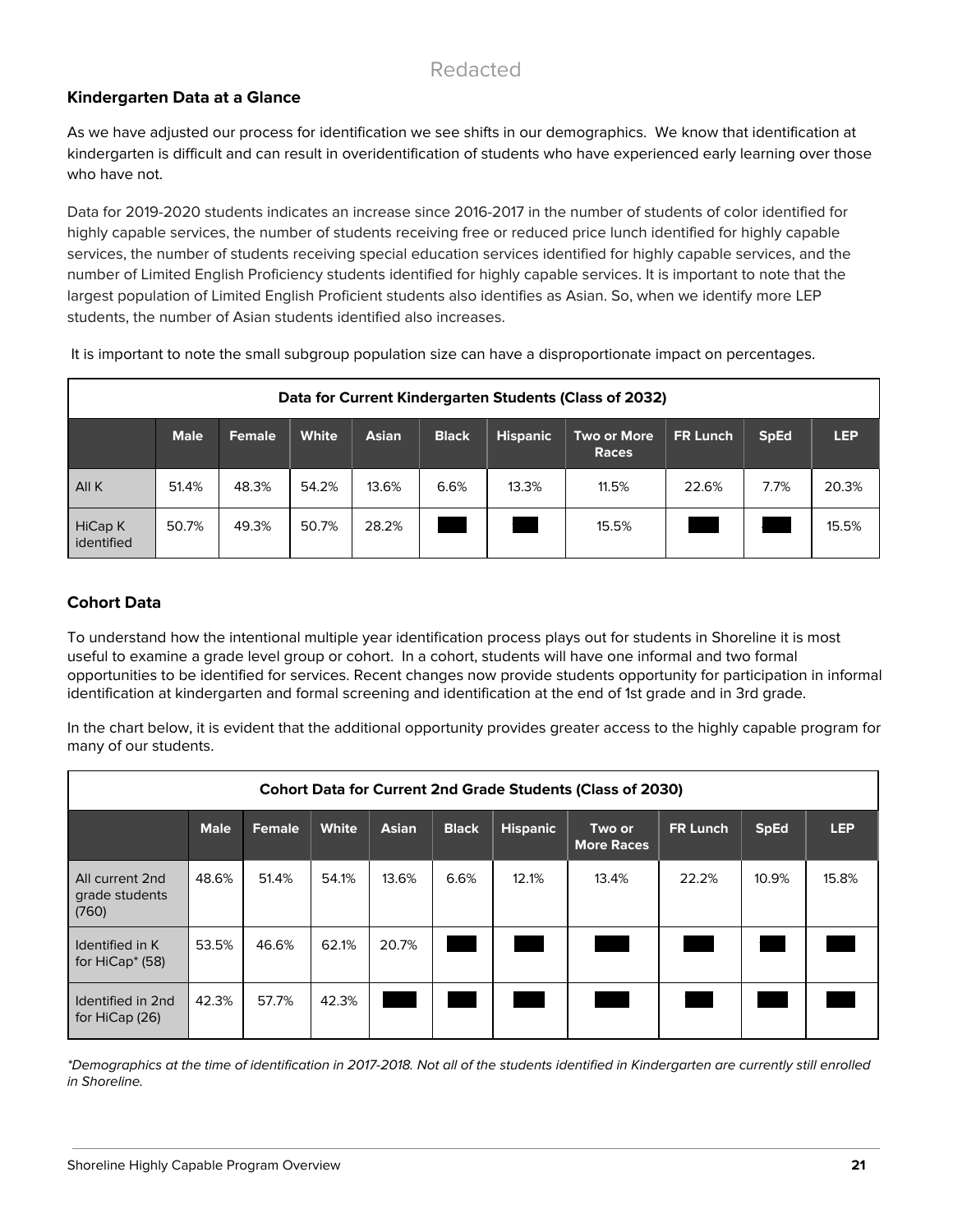### **Kindergarten Data at a Glance**

As we have adjusted our process for identification we see shifts in our demographics. We know that identification at kindergarten is difficult and can result in overidentification of students who have experienced early learning over those who have not.

Data for 2019-2020 students indicates an increase since 2016-2017 in the number of students of color identified for highly capable services, the number of students receiving free or reduced price lunch identified for highly capable services, the number of students receiving special education services identified for highly capable services, and the number of Limited English Proficiency students identified for highly capable services. It is important to note that the largest population of Limited English Proficient students also identifies as Asian. So, when we identify more LEP students, the number of Asian students identified also increases.

|                       | Data for Current Kindergarten Students (Class of 2032) |               |       |              |              |                 |                      |          |             |            |  |
|-----------------------|--------------------------------------------------------|---------------|-------|--------------|--------------|-----------------|----------------------|----------|-------------|------------|--|
|                       | <b>Male</b>                                            | <b>Female</b> | White | <b>Asian</b> | <b>Black</b> | <b>Hispanic</b> | Two or More<br>Races | FR Lunch | <b>SpEd</b> | <b>LEP</b> |  |
| All K                 | 51.4%                                                  | 48.3%         | 54.2% | 13.6%        | 6.6%         | 13.3%           | 11.5%                | 22.6%    | 7.7%        | 20.3%      |  |
| HiCap K<br>identified | 50.7%                                                  | 49.3%         | 50.7% | 28.2%        |              |                 | 15.5%                |          |             | 15.5%      |  |

It is important to note the small subgroup population size can have a disproportionate impact on percentages.

### **Cohort Data**

To understand how the intentional multiple year identification process plays out for students in Shoreline it is most useful to examine a grade level group or cohort. In a cohort, students will have one informal and two formal opportunities to be identified for services. Recent changes now provide students opportunity for participation in informal identification at kindergarten and formal screening and identification at the end of 1st grade and in 3rd grade.

In the chart below, it is evident that the additional opportunity provides greater access to the highly capable program for many of our students.

|                                                | <b>Cohort Data for Current 2nd Grade Students (Class of 2030)</b> |        |              |       |              |                 |                             |          |             |            |  |  |
|------------------------------------------------|-------------------------------------------------------------------|--------|--------------|-------|--------------|-----------------|-----------------------------|----------|-------------|------------|--|--|
|                                                | <b>Male</b>                                                       | Female | <b>White</b> | Asian | <b>Black</b> | <b>Hispanic</b> | Two or<br><b>More Races</b> | FR Lunch | <b>SpEd</b> | <b>LEP</b> |  |  |
| All current 2nd<br>grade students<br>(760)     | 48.6%                                                             | 51.4%  | 54.1%        | 13.6% | 6.6%         | 12.1%           | 13.4%                       | 22.2%    | 10.9%       | 15.8%      |  |  |
| Identified in K<br>for HiCap <sup>*</sup> (58) | 53.5%                                                             | 46.6%  | 62.1%        | 20.7% |              |                 |                             |          |             |            |  |  |
| Identified in 2nd<br>for HiCap (26)            | 42.3%                                                             | 57.7%  | 42.3%        |       |              |                 |                             |          |             |            |  |  |

\*Demographics at the time of identification in 2017-2018. Not all of the students identified in Kindergarten are currently still enrolled in Shoreline.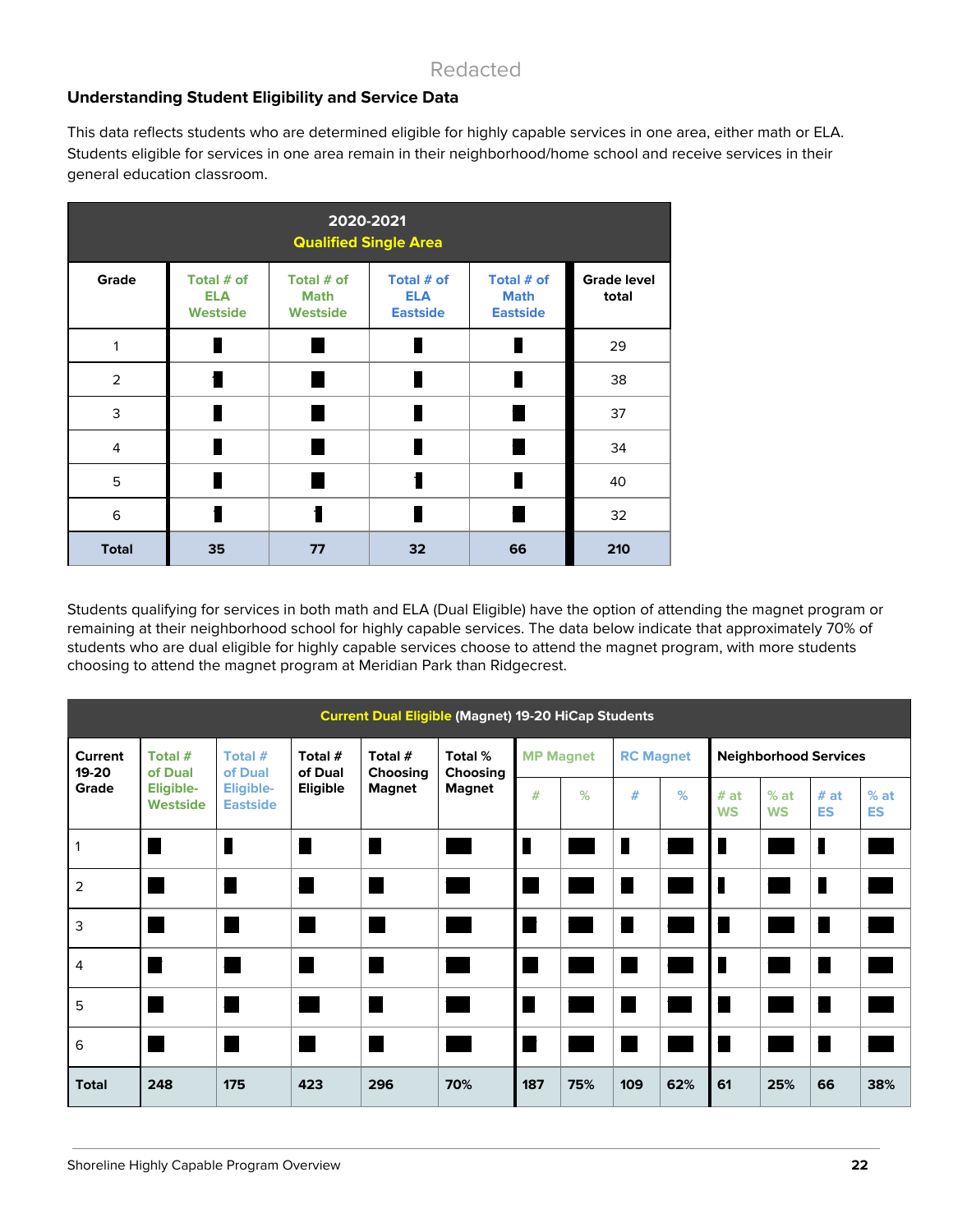### **Understanding Student Eligibility and Service Data**

This data reflects students who are determined eligible for highly capable services in one area, either math or ELA. Students eligible for services in one area remain in their neighborhood/home school and receive services in their general education classroom.

| 2020-2021<br><b>Qualified Single Area</b> |                                             |                                              |                                             |                                              |                             |  |  |  |  |  |  |
|-------------------------------------------|---------------------------------------------|----------------------------------------------|---------------------------------------------|----------------------------------------------|-----------------------------|--|--|--|--|--|--|
| Grade                                     | Total # of<br><b>ELA</b><br><b>Westside</b> | Total # of<br><b>Math</b><br><b>Westside</b> | Total # of<br><b>ELA</b><br><b>Eastside</b> | Total # of<br><b>Math</b><br><b>Eastside</b> | <b>Grade level</b><br>total |  |  |  |  |  |  |
| 1                                         |                                             |                                              |                                             | п                                            | 29                          |  |  |  |  |  |  |
| $\overline{2}$                            |                                             |                                              |                                             |                                              | 38                          |  |  |  |  |  |  |
| 3                                         |                                             |                                              |                                             |                                              | 37                          |  |  |  |  |  |  |
| $\overline{4}$                            |                                             |                                              |                                             |                                              | 34                          |  |  |  |  |  |  |
| 5                                         |                                             |                                              | ſ                                           | П                                            | 40                          |  |  |  |  |  |  |
| 6                                         |                                             |                                              |                                             |                                              | 32                          |  |  |  |  |  |  |
| <b>Total</b>                              | 35                                          | 77                                           | 32                                          | 66                                           | 210                         |  |  |  |  |  |  |

Students qualifying for services in both math and ELA (Dual Eligible) have the option of attending the magnet program or remaining at their neighborhood school for highly capable services. The data below indicate that approximately 70% of students who are dual eligible for highly capable services choose to attend the magnet program, with more students choosing to attend the magnet program at Meridian Park than Ridgecrest.

| <b>Current Dual Eligible (Magnet) 19-20 HiCap Students</b> |                       |                                     |                    |                                            |               |                  |                  |      |     |                              |                     |                   |                     |
|------------------------------------------------------------|-----------------------|-------------------------------------|--------------------|--------------------------------------------|---------------|------------------|------------------|------|-----|------------------------------|---------------------|-------------------|---------------------|
| Current<br>19-20                                           | Total #<br>of Dual    | Total #<br>of Dual                  | Total #<br>of Dual | Total #<br>Total %<br>Choosing<br>Choosing |               | <b>MP Magnet</b> | <b>RC Magnet</b> |      |     | <b>Neighborhood Services</b> |                     |                   |                     |
| Grade                                                      | Eligible-<br>Westside | <b>Eligible-</b><br><b>Eastside</b> | Eligible           | <b>Magnet</b>                              | <b>Magnet</b> | $#$              | $\%$             | $\#$ | %   | #at<br><b>WS</b>             | $%$ at<br><b>WS</b> | # at<br><b>ES</b> | $%$ at<br><b>ES</b> |
|                                                            |                       | П                                   |                    |                                            |               |                  |                  |      |     | П                            |                     |                   |                     |
| $\overline{2}$                                             |                       | П                                   |                    |                                            |               |                  |                  |      |     | I                            |                     |                   |                     |
| 3                                                          |                       |                                     |                    |                                            |               |                  |                  |      |     |                              |                     |                   |                     |
| 4                                                          |                       |                                     |                    |                                            |               |                  |                  | ٠    |     | П                            |                     |                   |                     |
| 5                                                          |                       |                                     |                    |                                            |               |                  |                  |      |     |                              |                     |                   |                     |
| 6                                                          |                       |                                     |                    | П                                          |               |                  |                  | ٠    |     |                              |                     |                   |                     |
| <b>Total</b>                                               | 248                   | 175                                 | 423                | 296                                        | 70%           | 187              | 75%              | 109  | 62% | 61                           | 25%                 | 66                | 38%                 |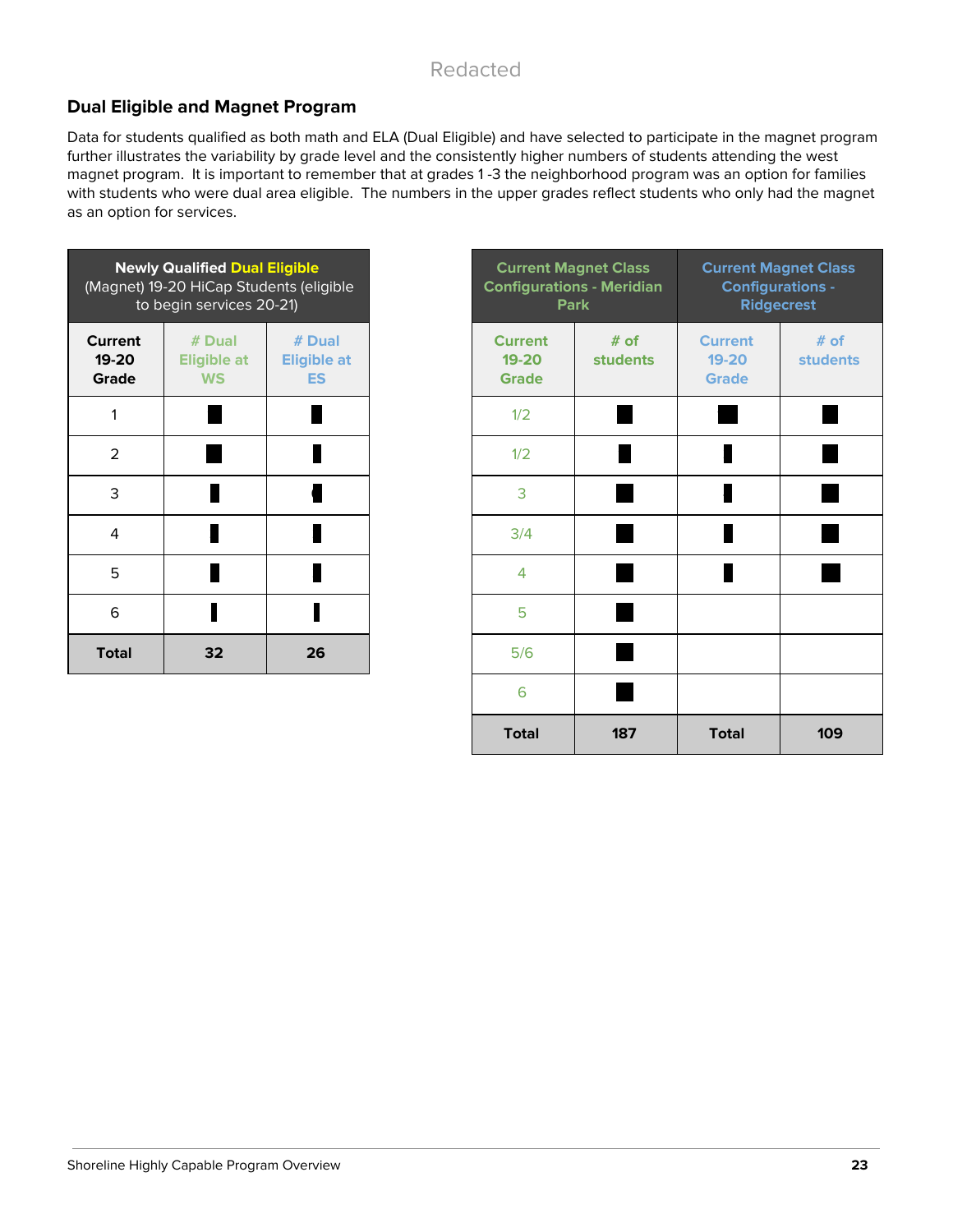### **Dual Eligible and Magnet Program**

Data for students qualified as both math and ELA (Dual Eligible) and have selected to participate in the magnet program further illustrates the variability by grade level and the consistently higher numbers of students attending the west magnet program. It is important to remember that at grades 1 -3 the neighborhood program was an option for families with students who were dual area eligible. The numbers in the upper grades reflect students who only had the magnet as an option for services.

|                                  | <b>Newly Qualified Dual Eligible</b><br>(Magnet) 19-20 HiCap Students (eligible<br>to begin services 20-21) |                                           | <b>Current Magnet Clas</b><br><b>Configurations - Merio</b><br><b>Park</b> |                  |
|----------------------------------|-------------------------------------------------------------------------------------------------------------|-------------------------------------------|----------------------------------------------------------------------------|------------------|
| <b>Current</b><br>19-20<br>Grade | $#$ Dual<br><b>Eligible at</b><br><b>WS</b>                                                                 | # Dual<br><b>Eligible at</b><br><b>ES</b> | <b>Current</b><br>19-20<br><b>Grade</b>                                    | $#$ of<br>studer |
| 1                                |                                                                                                             |                                           | 1/2                                                                        |                  |
| $\overline{2}$                   |                                                                                                             |                                           | 1/2                                                                        |                  |
| 3                                |                                                                                                             |                                           | 3                                                                          |                  |
| 4                                |                                                                                                             |                                           | 3/4                                                                        |                  |
| 5                                |                                                                                                             |                                           | $\overline{4}$                                                             |                  |
| 6                                |                                                                                                             |                                           | 5                                                                          |                  |
| <b>Total</b>                     | 32                                                                                                          | 26                                        | 5/6                                                                        |                  |

|                      | <b>Newly Qualified Dual Eligible</b><br>gnet) 19-20 HiCap Students (eligible<br>to begin services 20-21) |                                           |                                             | <b>Current Magnet Class</b><br><b>Configurations - Meridian</b><br><b>Park</b> | <b>Current Magnet Class</b><br><b>Configurations -</b><br><b>Ridgecrest</b> |                         |
|----------------------|----------------------------------------------------------------------------------------------------------|-------------------------------------------|---------------------------------------------|--------------------------------------------------------------------------------|-----------------------------------------------------------------------------|-------------------------|
| rent<br>$-20$<br>ade | $#$ Dual<br><b>Eligible at</b><br><b>WS</b>                                                              | # Dual<br><b>Eligible at</b><br><b>ES</b> | <b>Current</b><br>$19 - 20$<br><b>Grade</b> | # of<br><b>students</b>                                                        | <b>Current</b><br>$19 - 20$<br><b>Grade</b>                                 | # of<br><b>students</b> |
| 1                    |                                                                                                          |                                           | 1/2                                         |                                                                                |                                                                             |                         |
| $\overline{2}$       |                                                                                                          |                                           | 1/2                                         |                                                                                | П                                                                           |                         |
| 3                    |                                                                                                          |                                           | 3                                           |                                                                                | ł                                                                           |                         |
| 4                    |                                                                                                          |                                           | 3/4                                         |                                                                                |                                                                             |                         |
| 5                    |                                                                                                          |                                           | 4                                           |                                                                                |                                                                             |                         |
| 6                    |                                                                                                          |                                           | 5                                           |                                                                                |                                                                             |                         |
| <b>otal</b>          | 32                                                                                                       | 26                                        | 5/6                                         |                                                                                |                                                                             |                         |
|                      |                                                                                                          |                                           | 6                                           |                                                                                |                                                                             |                         |
|                      |                                                                                                          |                                           | <b>Total</b>                                | 187                                                                            | <b>Total</b>                                                                | 109                     |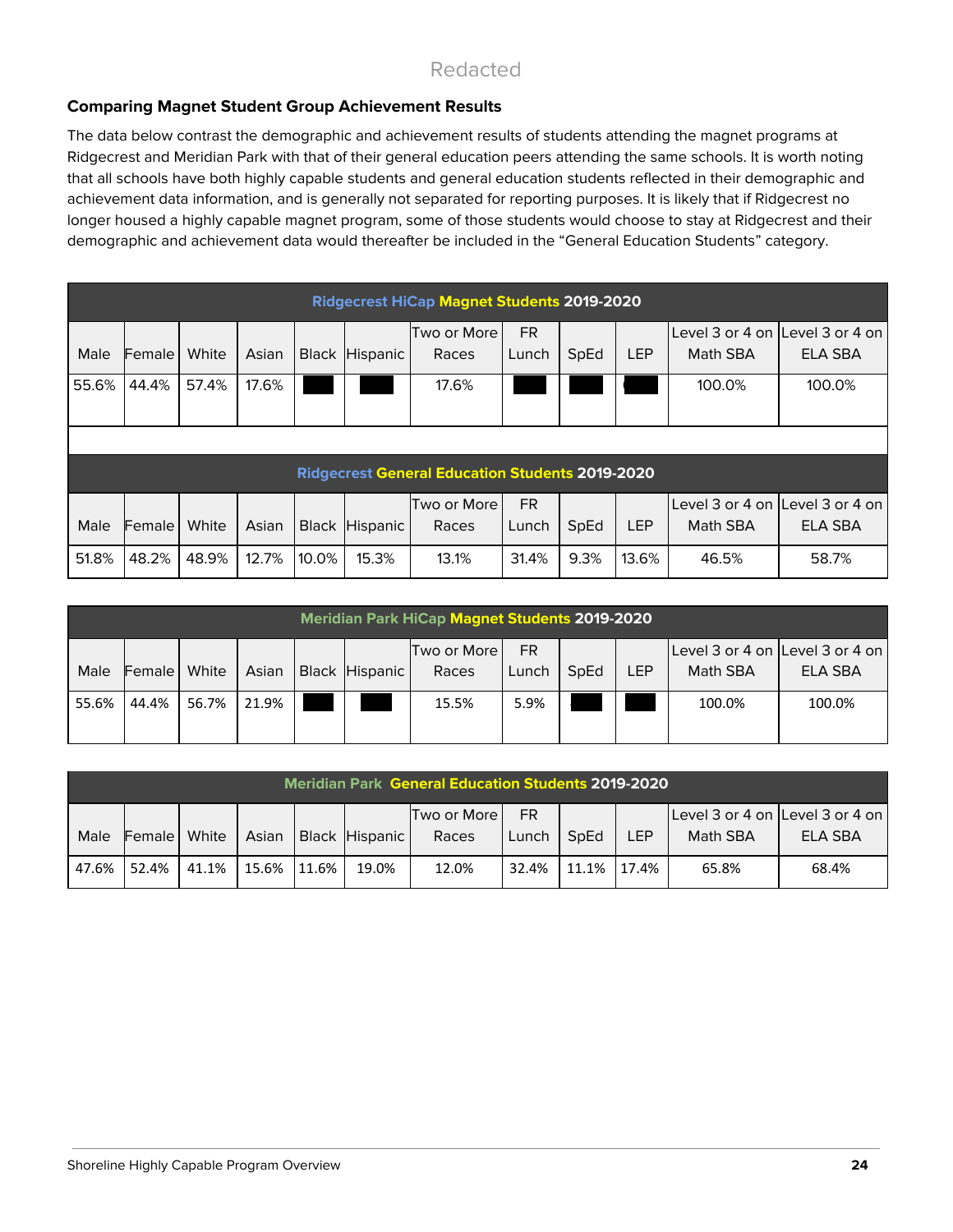### **Comparing Magnet Student Group Achievement Results**

The data below contrast the demographic and achievement results of students attending the magnet programs at Ridgecrest and Meridian Park with that of their general education peers attending the same schools. It is worth noting that all schools have both highly capable students and general education students reflected in their demographic and achievement data information, and is generally not separated for reporting purposes. It is likely that if Ridgecrest no longer housed a highly capable magnet program, some of those students would choose to stay at Ridgecrest and their demographic and achievement data would thereafter be included in the "General Education Students" category.

|       |        |       |       |       |                | <b>Ridgecrest HiCap Magnet Students 2019-2020</b>      |           |      |            |                                 |                |
|-------|--------|-------|-------|-------|----------------|--------------------------------------------------------|-----------|------|------------|---------------------------------|----------------|
|       |        |       |       |       |                | Two or More                                            | FR.       |      |            | Level 3 or 4 on Level 3 or 4 on |                |
| Male  | Female | White | Asian |       | Black Hispanic | Races                                                  | Lunch     | SpEd | <b>LEP</b> | Math SBA                        | <b>ELA SBA</b> |
| 55.6% | 44.4%  | 57.4% | 17.6% |       |                | 17.6%                                                  |           |      |            | 100.0%                          | 100.0%         |
|       |        |       |       |       |                |                                                        |           |      |            |                                 |                |
|       |        |       |       |       |                |                                                        |           |      |            |                                 |                |
|       |        |       |       |       |                | <b>Ridgecrest General Education Students 2019-2020</b> |           |      |            |                                 |                |
|       |        |       |       |       |                | Two or More                                            | <b>FR</b> |      |            | Level 3 or 4 on Level 3 or 4 on |                |
| Male  | Female | White | Asian |       | Black Hispanic | Races                                                  | Lunch     | SpEd | <b>LEP</b> | Math SBA                        | <b>ELA SBA</b> |
| 51.8% | 48.2%  | 48.9% | 12.7% | 10.0% | 15.3%          | 13.1%                                                  | 31.4%     | 9.3% | 13.6%      | 46.5%                           | 58.7%          |

|       | <b>Meridian Park HiCap Magnet Students 2019-2020</b> |       |       |  |                |             |       |      |            |                                 |         |
|-------|------------------------------------------------------|-------|-------|--|----------------|-------------|-------|------|------------|---------------------------------|---------|
|       |                                                      |       |       |  |                | Two or More | FR.   |      |            | Level 3 or 4 on Level 3 or 4 on |         |
| Male  | Female                                               | White | Asian |  | Black Hispanic | Races       | Lunch | SpEd | <b>LEP</b> | Math SBA                        | ELA SBA |
| 55.6% | 44.4%                                                | 56.7% | 21.9% |  |                | 15.5%       | 5.9%  |      |            | 100.0%                          | 100.0%  |

|       | <b>Meridian Park General Education Students 2019-2020</b> |       |       |       |                |                        |              |       |            |                                             |         |
|-------|-----------------------------------------------------------|-------|-------|-------|----------------|------------------------|--------------|-------|------------|---------------------------------------------|---------|
| Male  | <b>Female</b>   White                                     |       | Asian |       | Black Hispanic | Two or More L<br>Races | FR.<br>Lunch | SpEd  | <b>LEP</b> | Level 3 or 4 on Level 3 or 4 on<br>Math SBA | ELA SBA |
| 47.6% | 52.4%                                                     | 41.1% | 15.6% | 11.6% | 19.0%          | 12.0%                  | 32.4%        | 11.1% | 17.4%      | 65.8%                                       | 68.4%   |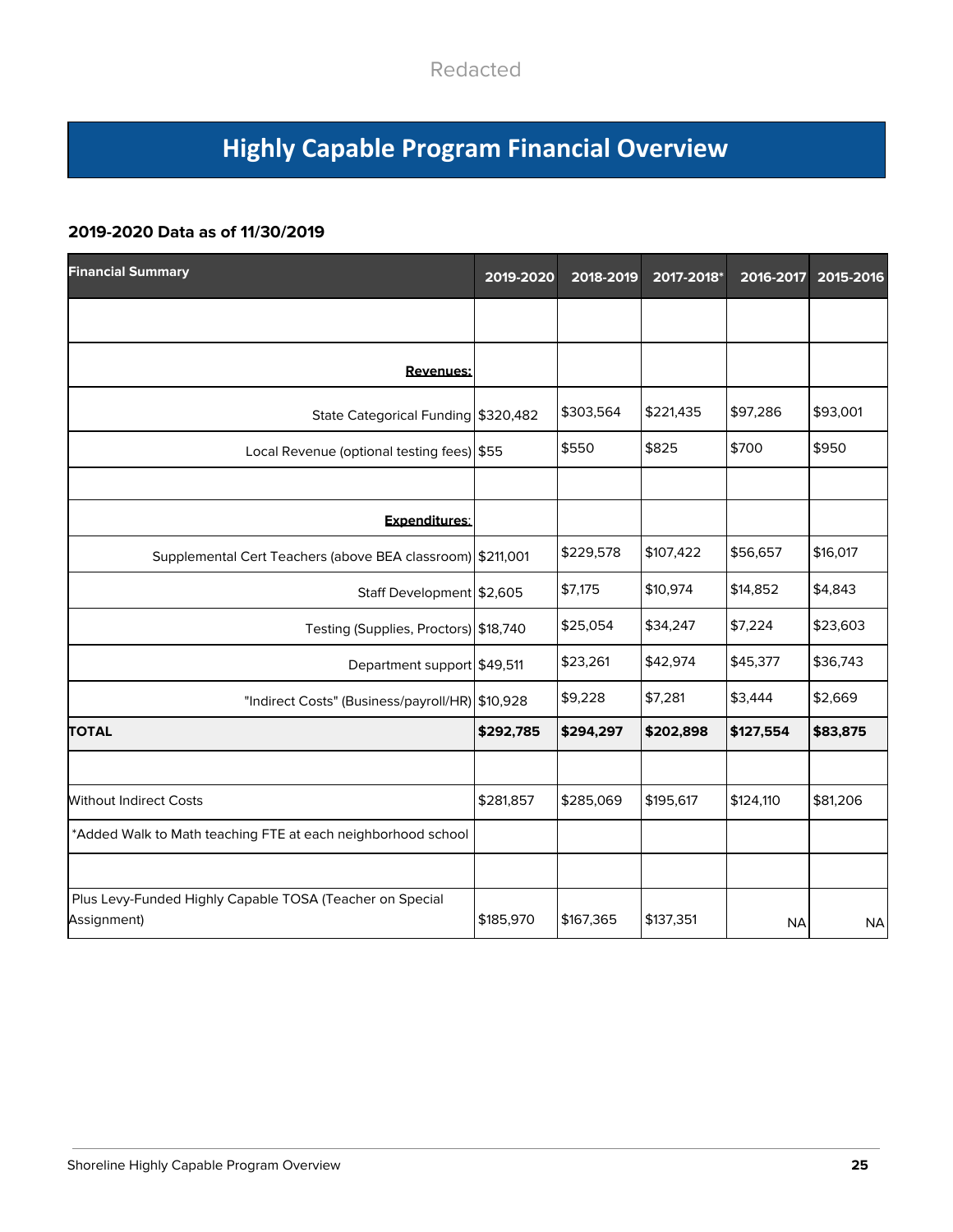# **Highly Capable Program Financial Overview**

### **2019-2020 Data as of 11/30/2019**

| <b>Financial Summary</b>                                                | 2019-2020 | 2018-2019 | 2017-2018* | 2016-2017 | 2015-2016 |
|-------------------------------------------------------------------------|-----------|-----------|------------|-----------|-----------|
|                                                                         |           |           |            |           |           |
| <b>Revenues:</b>                                                        |           |           |            |           |           |
| State Categorical Funding \$320,482                                     |           | \$303,564 | \$221,435  | \$97,286  | \$93,001  |
| Local Revenue (optional testing fees) \$55                              |           | \$550     | \$825      | \$700     | \$950     |
|                                                                         |           |           |            |           |           |
| Expenditures:                                                           |           |           |            |           |           |
| Supplemental Cert Teachers (above BEA classroom) \$211,001              |           | \$229,578 | \$107,422  | \$56,657  | \$16,017  |
| Staff Development \$2,605                                               |           | \$7,175   | \$10,974   | \$14,852  | \$4,843   |
| Testing (Supplies, Proctors) \$18,740                                   |           | \$25,054  | \$34,247   | \$7,224   | \$23,603  |
| Department support \$49,511                                             |           | \$23,261  | \$42,974   | \$45,377  | \$36,743  |
| "Indirect Costs" (Business/payroll/HR) \$10,928                         |           | \$9,228   | \$7,281    | \$3,444   | \$2,669   |
| <b>TOTAL</b>                                                            | \$292,785 | \$294,297 | \$202,898  | \$127,554 | \$83,875  |
|                                                                         |           |           |            |           |           |
| <b>Without Indirect Costs</b>                                           | \$281,857 | \$285,069 | \$195,617  | \$124,110 | \$81,206  |
| *Added Walk to Math teaching FTE at each neighborhood school            |           |           |            |           |           |
|                                                                         |           |           |            |           |           |
| Plus Levy-Funded Highly Capable TOSA (Teacher on Special<br>Assignment) | \$185,970 | \$167,365 | \$137,351  | <b>NA</b> | <b>NA</b> |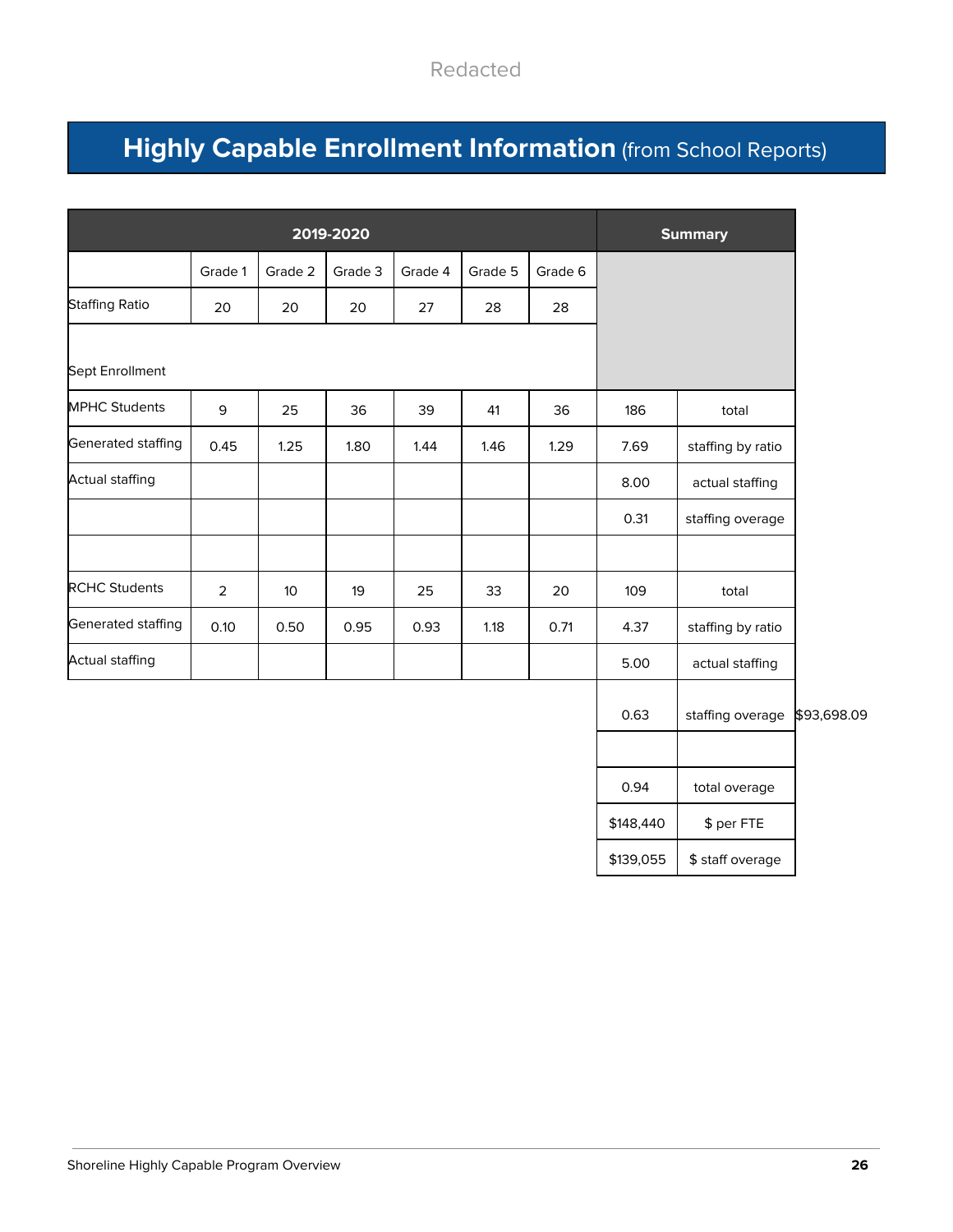# **Highly Capable Enrollment Information** (from School Reports)

|                        |                |         | 2019-2020 |         |         |         | <b>Summary</b> |                   |             |
|------------------------|----------------|---------|-----------|---------|---------|---------|----------------|-------------------|-------------|
|                        | Grade 1        | Grade 2 | Grade 3   | Grade 4 | Grade 5 | Grade 6 |                |                   |             |
| <b>Staffing Ratio</b>  | 20             | 20      | 20        | 27      | 28      | 28      |                |                   |             |
| Sept Enrollment        |                |         |           |         |         |         |                |                   |             |
| <b>MPHC Students</b>   | 9              | 25      | 36        | 39      | 41      | 36      | 186            | total             |             |
| Generated staffing     | 0.45           | 1.25    | 1.80      | 1.44    | 1.46    | 1.29    | 7.69           | staffing by ratio |             |
| Actual staffing        |                |         |           |         |         |         | 8.00           | actual staffing   |             |
|                        |                |         |           |         |         |         | 0.31           | staffing overage  |             |
| <b>RCHC Students</b>   | $\overline{2}$ | 10      | 19        | 25      | 33      | 20      | 109            | total             |             |
| Generated staffing     | 0.10           | 0.50    | 0.95      | 0.93    | 1.18    | 0.71    | 4.37           | staffing by ratio |             |
| <b>Actual staffing</b> |                |         |           |         |         |         | 5.00           | actual staffing   |             |
|                        |                |         |           |         |         |         | 0.63           | staffing overage  | \$93,698.09 |

| 0.63      | staffing overage |
|-----------|------------------|
|           |                  |
| 0.94      | total overage    |
| \$148,440 | \$ per FTE       |
| \$139,055 | \$ staff overage |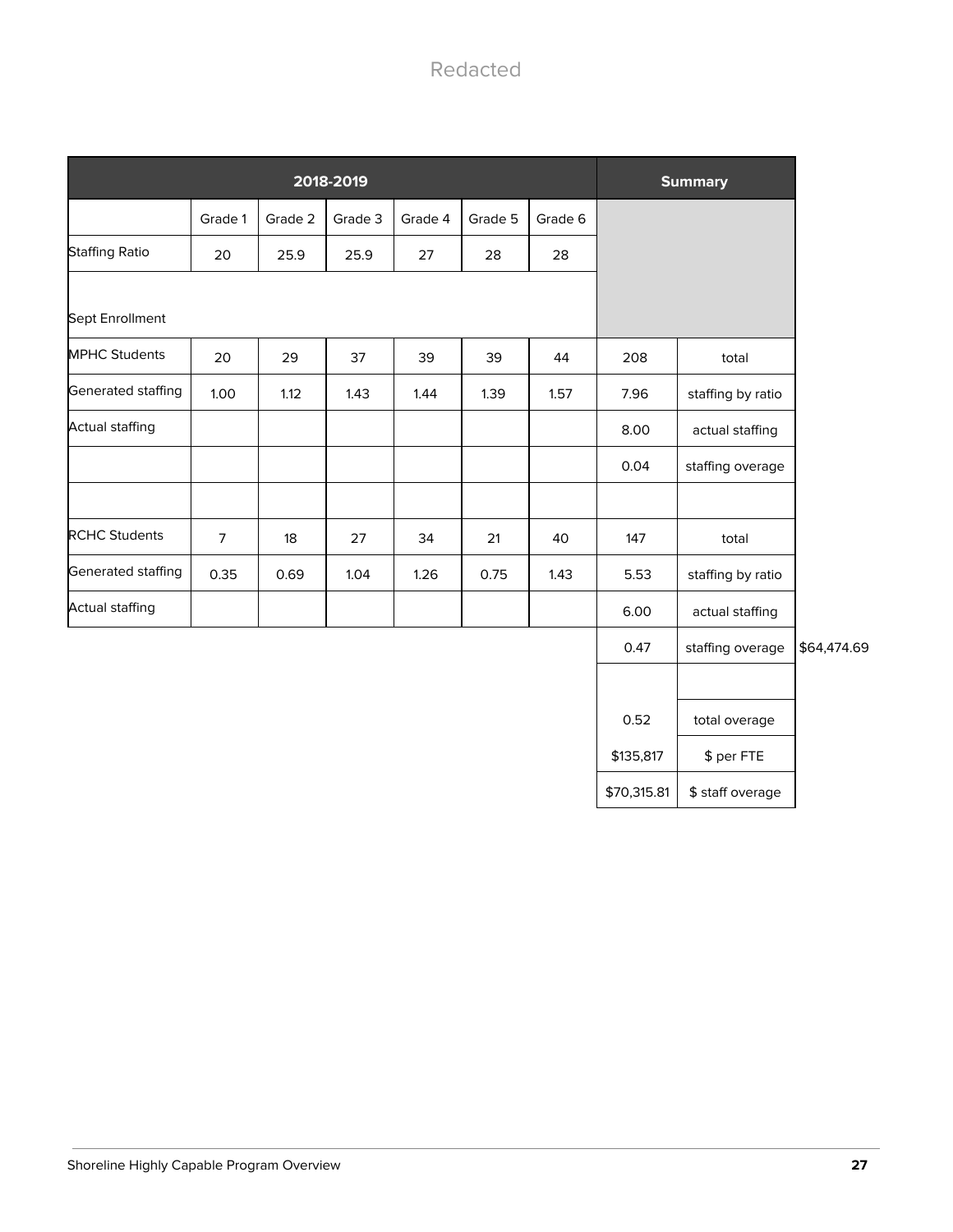|                        | 2018-2019<br><b>Summary</b><br>Grade 1<br>Grade 2<br>Grade 3<br>Grade 4<br>Grade 5<br>Grade 6<br>25.9<br>25.9<br>27<br>28<br>20<br>28<br>37<br>20<br>39<br>29<br>39<br>44<br>208<br>total<br>1.00<br>1.12<br>1.43<br>1.44<br>1.39<br>1.57<br>7.96<br>staffing by ratio<br>8.00<br>actual staffing<br>0.04<br>staffing overage |      |      |      |      |      |           |                   |             |
|------------------------|-------------------------------------------------------------------------------------------------------------------------------------------------------------------------------------------------------------------------------------------------------------------------------------------------------------------------------|------|------|------|------|------|-----------|-------------------|-------------|
|                        |                                                                                                                                                                                                                                                                                                                               |      |      |      |      |      |           |                   |             |
| <b>Staffing Ratio</b>  |                                                                                                                                                                                                                                                                                                                               |      |      |      |      |      |           |                   |             |
| Sept Enrollment        |                                                                                                                                                                                                                                                                                                                               |      |      |      |      |      |           |                   |             |
| <b>MPHC Students</b>   |                                                                                                                                                                                                                                                                                                                               |      |      |      |      |      |           |                   |             |
| Generated staffing     |                                                                                                                                                                                                                                                                                                                               |      |      |      |      |      |           |                   |             |
| <b>Actual staffing</b> |                                                                                                                                                                                                                                                                                                                               |      |      |      |      |      |           |                   |             |
|                        |                                                                                                                                                                                                                                                                                                                               |      |      |      |      |      |           |                   |             |
| <b>RCHC Students</b>   | $\overline{7}$                                                                                                                                                                                                                                                                                                                | 18   | 27   | 34   | 21   | 40   | 147       | total             |             |
| Generated staffing     | 0.35                                                                                                                                                                                                                                                                                                                          | 0.69 | 1.04 | 1.26 | 0.75 | 1.43 | 5.53      | staffing by ratio |             |
| <b>Actual staffing</b> |                                                                                                                                                                                                                                                                                                                               |      |      |      |      |      | 6.00      | actual staffing   |             |
|                        |                                                                                                                                                                                                                                                                                                                               |      |      |      |      |      | 0.47      | staffing overage  | \$64,474.69 |
|                        |                                                                                                                                                                                                                                                                                                                               |      |      |      |      |      |           |                   |             |
|                        |                                                                                                                                                                                                                                                                                                                               |      |      |      |      |      | 0.52      | total overage     |             |
|                        |                                                                                                                                                                                                                                                                                                                               |      |      |      |      |      | \$135,817 | \$ per FTE        |             |

\$70,315.81 | \$ staff overage